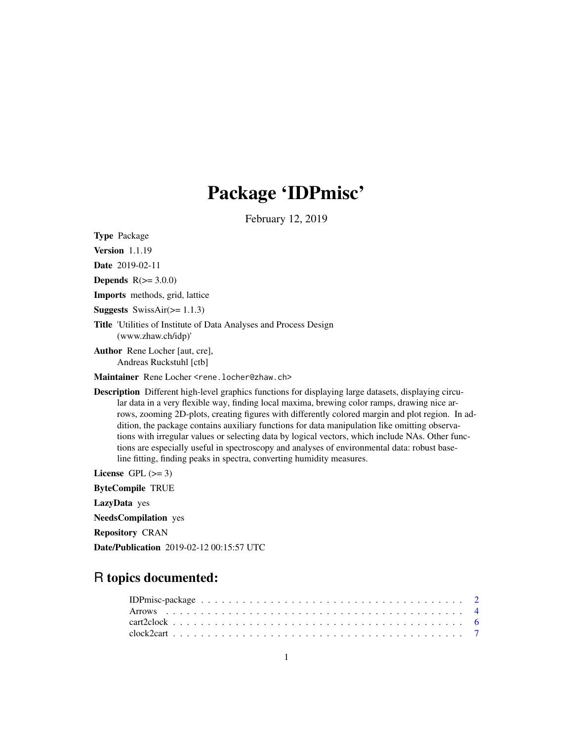# Package 'IDPmisc'

February 12, 2019

<span id="page-0-0"></span>Type Package

Version 1.1.19

Date 2019-02-11

**Depends**  $R(>= 3.0.0)$ 

Imports methods, grid, lattice

**Suggests** SwissAir( $>= 1.1.3$ )

Title 'Utilities of Institute of Data Analyses and Process Design (www.zhaw.ch/idp)'

Author Rene Locher [aut, cre], Andreas Ruckstuhl [ctb]

Maintainer Rene Locher <rene.locher@zhaw.ch>

Description Different high-level graphics functions for displaying large datasets, displaying circular data in a very flexible way, finding local maxima, brewing color ramps, drawing nice arrows, zooming 2D-plots, creating figures with differently colored margin and plot region. In addition, the package contains auxiliary functions for data manipulation like omitting observations with irregular values or selecting data by logical vectors, which include NAs. Other functions are especially useful in spectroscopy and analyses of environmental data: robust baseline fitting, finding peaks in spectra, converting humidity measures.

License GPL  $(>= 3)$ 

ByteCompile TRUE

LazyData yes

NeedsCompilation yes

Repository CRAN

Date/Publication 2019-02-12 00:15:57 UTC

# R topics documented: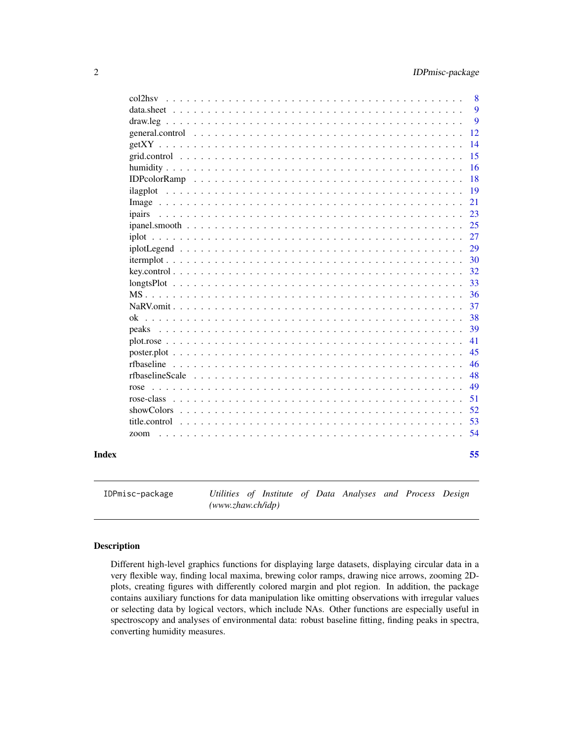<span id="page-1-0"></span>

| zoom          |  |  |
|---------------|--|--|
| title.control |  |  |
|               |  |  |
| rose-class    |  |  |
| rose          |  |  |
|               |  |  |
|               |  |  |
|               |  |  |
|               |  |  |
|               |  |  |
|               |  |  |
|               |  |  |
|               |  |  |
|               |  |  |
|               |  |  |
|               |  |  |
|               |  |  |
|               |  |  |
|               |  |  |
| ipairs        |  |  |
|               |  |  |
|               |  |  |
|               |  |  |
|               |  |  |
|               |  |  |
|               |  |  |
|               |  |  |
|               |  |  |
|               |  |  |

IDPmisc-package *Utilities of Institute of Data Analyses and Process Design (www.zhaw.ch/idp)*

# Description

Different high-level graphics functions for displaying large datasets, displaying circular data in a very flexible way, finding local maxima, brewing color ramps, drawing nice arrows, zooming 2Dplots, creating figures with differently colored margin and plot region. In addition, the package contains auxiliary functions for data manipulation like omitting observations with irregular values or selecting data by logical vectors, which include NAs. Other functions are especially useful in spectroscopy and analyses of environmental data: robust baseline fitting, finding peaks in spectra, converting humidity measures.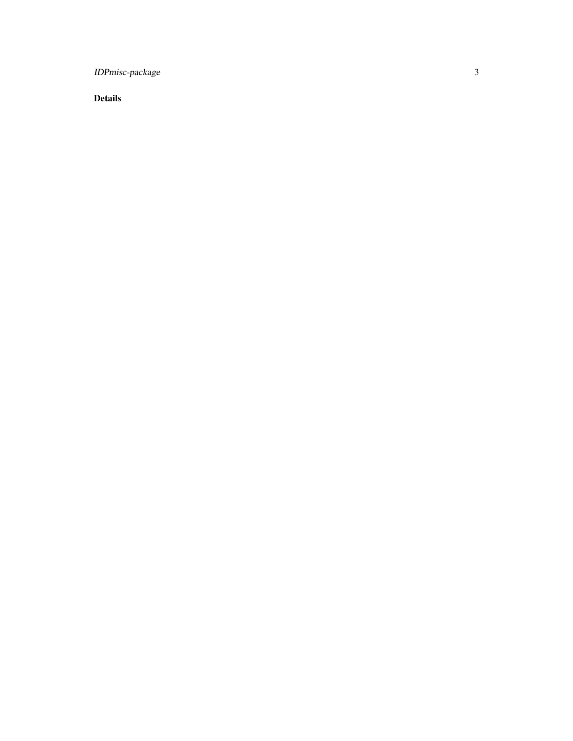IDPmisc-package

Details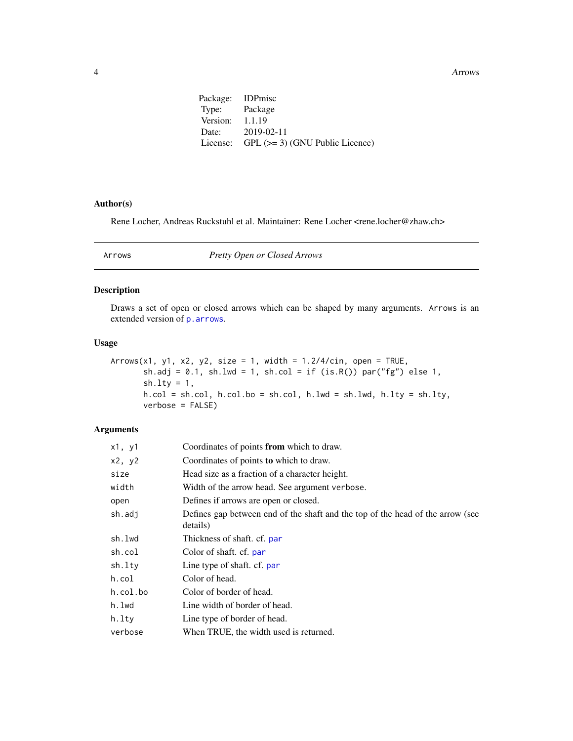<span id="page-3-0"></span>**4** Arrows **Arrows Arrows Arrows** 

| Package: IDPmisc                           |
|--------------------------------------------|
| Type: Package                              |
| Version:<br>1.1.19                         |
| $2019 - 02 - 11$                           |
| License: GPL $(>= 3)$ (GNU Public Licence) |
|                                            |

# Author(s)

Rene Locher, Andreas Ruckstuhl et al. Maintainer: Rene Locher <rene.locher@zhaw.ch>

Arrows *Pretty Open or Closed Arrows*

#### Description

Draws a set of open or closed arrows which can be shaped by many arguments. Arrows is an extended version of [p.arrows](#page-0-0).

# Usage

```
Arrows(x1, y1, x2, y2, size = 1, width = 1.2/4/cin, open = TRUE,
       sh.adj = 0.1, sh.lwd = 1, sh.col = if (is.R()) par("fg") else 1,
       sh.lty = 1,
      h.col = sh.col, h.col.bo = sh.col, h.lwd = sh.lwd, h.lty = sh.lty,
      verbose = FALSE)
```
# Arguments

| x1, y1   | Coordinates of points from which to draw.                                                  |
|----------|--------------------------------------------------------------------------------------------|
| x2, y2   | Coordinates of points to which to draw.                                                    |
| size     | Head size as a fraction of a character height.                                             |
| width    | Width of the arrow head. See argument verbose.                                             |
| open     | Defines if arrows are open or closed.                                                      |
| sh.adj   | Defines gap between end of the shaft and the top of the head of the arrow (see<br>details) |
| sh.lwd   | Thickness of shaft. cf. par                                                                |
| sh.col   | Color of shaft. cf. par                                                                    |
| sh.lty   | Line type of shaft. cf. par                                                                |
| h.col    | Color of head.                                                                             |
| h.col.bo | Color of border of head.                                                                   |
| h.lwd    | Line width of border of head.                                                              |
| h.ltv    | Line type of border of head.                                                               |
| verbose  | When TRUE, the width used is returned.                                                     |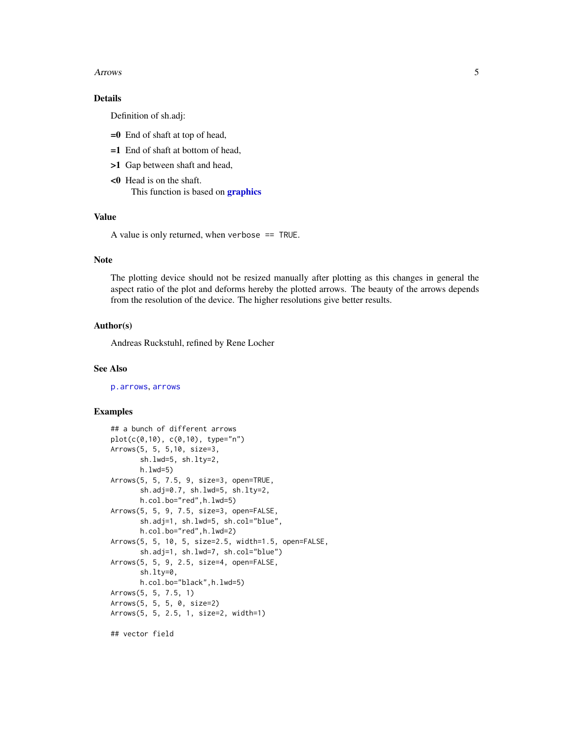#### <span id="page-4-0"></span>Arrows 5

# Details

Definition of sh.adj:

- =0 End of shaft at top of head,
- =1 End of shaft at bottom of head,
- >1 Gap between shaft and head,
- <0 Head is on the shaft. This function is based on **[graphics](#page-0-0)**

#### Value

A value is only returned, when verbose == TRUE.

#### Note

The plotting device should not be resized manually after plotting as this changes in general the aspect ratio of the plot and deforms hereby the plotted arrows. The beauty of the arrows depends from the resolution of the device. The higher resolutions give better results.

#### Author(s)

Andreas Ruckstuhl, refined by Rene Locher

#### See Also

[p.arrows](#page-0-0), [arrows](#page-0-0)

#### Examples

```
## a bunch of different arrows
plot(c(0,10), c(0,10), type="n")
Arrows(5, 5, 5,10, size=3,
       sh.lwd=5, sh.lty=2,
       h.lwd=5)
Arrows(5, 5, 7.5, 9, size=3, open=TRUE,
       sh.adj=0.7, sh.lwd=5, sh.lty=2,
       h.col.bo="red",h.lwd=5)
Arrows(5, 5, 9, 7.5, size=3, open=FALSE,
       sh.adj=1, sh.lwd=5, sh.col="blue",
       h.col.bo="red",h.lwd=2)
Arrows(5, 5, 10, 5, size=2.5, width=1.5, open=FALSE,
       sh.adj=1, sh.lwd=7, sh.col="blue")
Arrows(5, 5, 9, 2.5, size=4, open=FALSE,
       sh.lty=0,
       h.col.bo="black",h.lwd=5)
Arrows(5, 5, 7.5, 1)
Arrows(5, 5, 5, 0, size=2)
Arrows(5, 5, 2.5, 1, size=2, width=1)
## vector field
```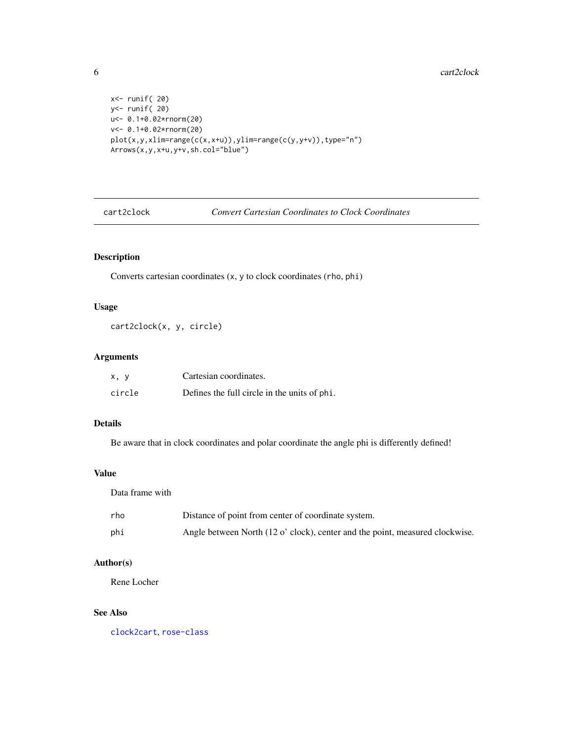```
x<- runif( 20)
y<- runif( 20)
u<- 0.1+0.02*rnorm(20)
v<- 0.1+0.02*rnorm(20)
plot(x,y,xlim=range(c(x,x+u)),ylim=range(c(y,y+v)),type="n")
\text{Arrows}(x, y, x+u, y+v, \text{sh.} \text{col} = \text{"blue"}
```
<span id="page-5-1"></span>cart2clock *Convert Cartesian Coordinates to Clock Coordinates*

# Description

Converts cartesian coordinates (x, y to clock coordinates (rho, phi)

# Usage

cart2clock(x, y, circle)

# Arguments

| x, y   | Cartesian coordinates.                       |
|--------|----------------------------------------------|
| circle | Defines the full circle in the units of phi. |

# Details

Be aware that in clock coordinates and polar coordinate the angle phi is differently defined!

# Value

Data frame with

| rho | Distance of point from center of coordinate system.                          |
|-----|------------------------------------------------------------------------------|
| phi | Angle between North (12 o' clock), center and the point, measured clockwise. |

# Author(s)

Rene Locher

# See Also

[clock2cart](#page-6-1), [rose-class](#page-50-1)

<span id="page-5-0"></span>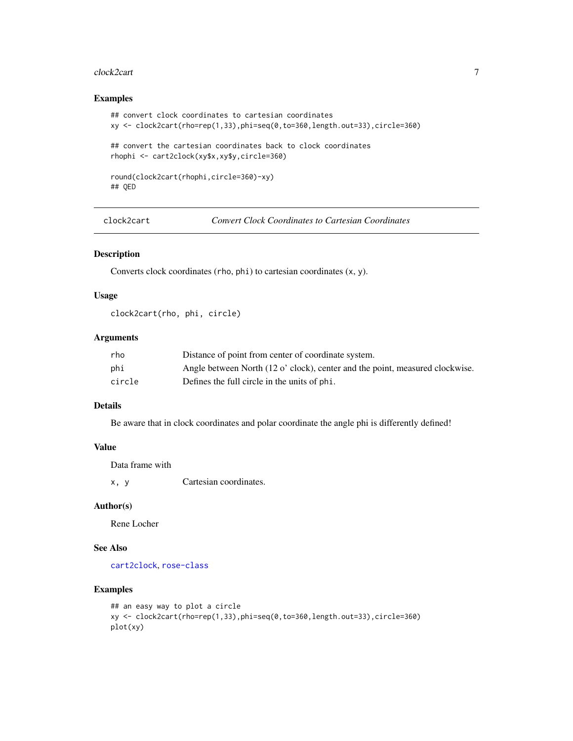#### <span id="page-6-0"></span>clock2cart 7

# Examples

```
## convert clock coordinates to cartesian coordinates
xy <- clock2cart(rho=rep(1,33),phi=seq(0,to=360,length.out=33),circle=360)
## convert the cartesian coordinates back to clock coordinates
rhophi <- cart2clock(xy$x,xy$y,circle=360)
round(clock2cart(rhophi,circle=360)-xy)
## QED
```

```
clock2cart Convert Clock Coordinates to Cartesian Coordinates
```
#### Description

Converts clock coordinates (rho, phi) to cartesian coordinates (x, y).

# Usage

clock2cart(rho, phi, circle)

#### Arguments

| rho    | Distance of point from center of coordinate system.                          |
|--------|------------------------------------------------------------------------------|
| phi    | Angle between North (12 o' clock), center and the point, measured clockwise. |
| circle | Defines the full circle in the units of phi.                                 |

# Details

Be aware that in clock coordinates and polar coordinate the angle phi is differently defined!

#### Value

Data frame with

x, y Cartesian coordinates.

#### Author(s)

Rene Locher

## See Also

[cart2clock](#page-5-1), [rose-class](#page-50-1)

# Examples

```
## an easy way to plot a circle
xy <- clock2cart(rho=rep(1,33),phi=seq(0,to=360,length.out=33),circle=360)
plot(xy)
```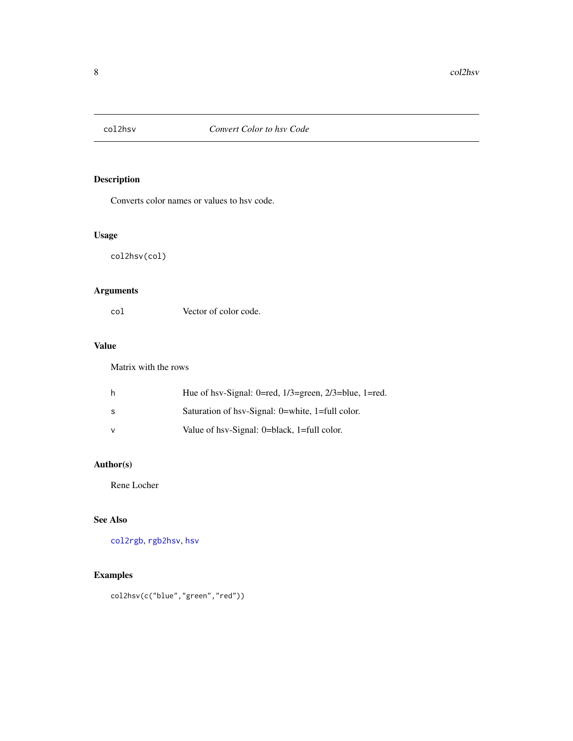<span id="page-7-0"></span>

Converts color names or values to hsv code.

# Usage

col2hsv(col)

# Arguments

| col | Vector of color code. |
|-----|-----------------------|
|     |                       |

# Value

Matrix with the rows

|     | Hue of hsv-Signal: 0=red, $1/3$ =green, $2/3$ =blue, 1=red. |
|-----|-------------------------------------------------------------|
| - S | Saturation of hsv-Signal: 0=white, 1=full color.            |
|     | Value of hsv-Signal: 0=black, 1=full color.                 |

# Author(s)

Rene Locher

# See Also

[col2rgb](#page-0-0), [rgb2hsv](#page-0-0), [hsv](#page-0-0)

# Examples

```
col2hsv(c("blue","green","red"))
```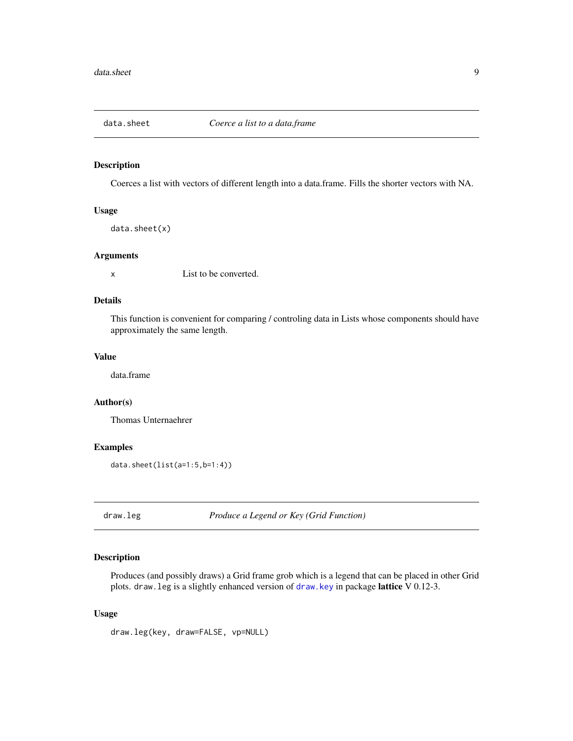<span id="page-8-0"></span>

Coerces a list with vectors of different length into a data.frame. Fills the shorter vectors with NA.

#### Usage

data.sheet(x)

#### Arguments

x List to be converted.

# Details

This function is convenient for comparing / controling data in Lists whose components should have approximately the same length.

#### Value

data.frame

#### Author(s)

Thomas Unternaehrer

# Examples

data.sheet(list(a=1:5,b=1:4))

draw.leg *Produce a Legend or Key (Grid Function)*

#### Description

Produces (and possibly draws) a Grid frame grob which is a legend that can be placed in other Grid plots. draw.leg is a slightly enhanced version of [draw.key](#page-0-0) in package lattice V 0.12-3.

# Usage

draw.leg(key, draw=FALSE, vp=NULL)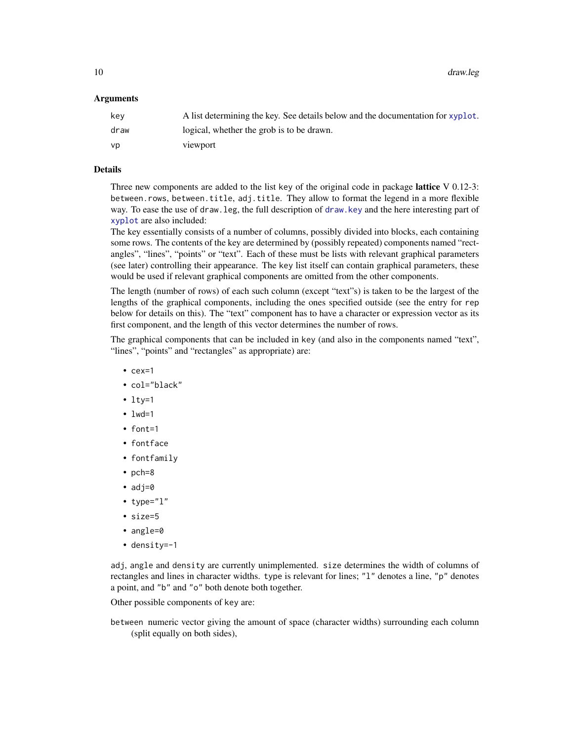<span id="page-9-0"></span>10 draw.leg

#### **Arguments**

| kev  | A list determining the key. See details below and the documentation for xyplot. |
|------|---------------------------------------------------------------------------------|
| draw | logical, whether the grob is to be drawn.                                       |
| VD.  | viewport                                                                        |

# Details

Three new components are added to the list key of the original code in package **lattice** V 0.12-3: between.rows, between.title, adj.title. They allow to format the legend in a more flexible way. To ease the use of draw.leg, the full description of [draw.key](#page-0-0) and the here interesting part of [xyplot](#page-0-0) are also included:

The key essentially consists of a number of columns, possibly divided into blocks, each containing some rows. The contents of the key are determined by (possibly repeated) components named "rectangles", "lines", "points" or "text". Each of these must be lists with relevant graphical parameters (see later) controlling their appearance. The key list itself can contain graphical parameters, these would be used if relevant graphical components are omitted from the other components.

The length (number of rows) of each such column (except "text"s) is taken to be the largest of the lengths of the graphical components, including the ones specified outside (see the entry for rep below for details on this). The "text" component has to have a character or expression vector as its first component, and the length of this vector determines the number of rows.

The graphical components that can be included in key (and also in the components named "text", "lines", "points" and "rectangles" as appropriate) are:

- cex=1
- col="black"
- $\cdot$  lty=1
- $\bullet$  lwd=1
- font=1
- fontface
- fontfamily
- pch=8
- $adj=0$
- type="l"
- size=5
- angle=0
- density=-1

adj, angle and density are currently unimplemented. size determines the width of columns of rectangles and lines in character widths. type is relevant for lines; "1" denotes a line, "p" denotes a point, and "b" and "o" both denote both together.

Other possible components of key are:

between numeric vector giving the amount of space (character widths) surrounding each column (split equally on both sides),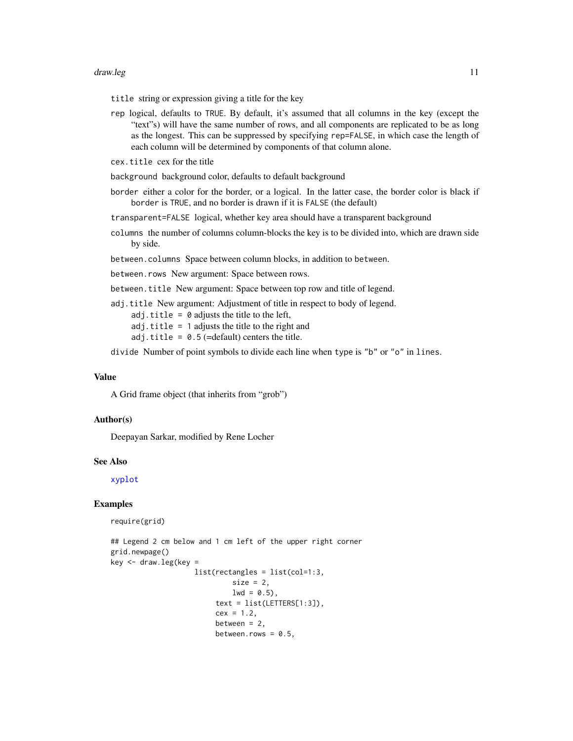#### <span id="page-10-0"></span>draw.leg the contract of the contract of the contract of the contract of the contract of the contract of the contract of the contract of the contract of the contract of the contract of the contract of the contract of the c

title string or expression giving a title for the key

rep logical, defaults to TRUE. By default, it's assumed that all columns in the key (except the "text"s) will have the same number of rows, and all components are replicated to be as long as the longest. This can be suppressed by specifying rep=FALSE, in which case the length of each column will be determined by components of that column alone.

cex.title cex for the title

background background color, defaults to default background

border either a color for the border, or a logical. In the latter case, the border color is black if border is TRUE, and no border is drawn if it is FALSE (the default)

transparent=FALSE logical, whether key area should have a transparent background

columns the number of columns column-blocks the key is to be divided into, which are drawn side by side.

between.columns Space between column blocks, in addition to between.

between.rows New argument: Space between rows.

between.title New argument: Space between top row and title of legend.

adj.title New argument: Adjustment of title in respect to body of legend.

adj.title =  $\theta$  adjusts the title to the left,

 $adj.title = 1$  adjusts the title to the right and

adj.title =  $0.5$  (=default) centers the title.

divide Number of point symbols to divide each line when type is "b" or "o" in lines.

#### Value

A Grid frame object (that inherits from "grob")

#### Author(s)

Deepayan Sarkar, modified by Rene Locher

#### See Also

[xyplot](#page-0-0)

#### Examples

require(grid)

```
## Legend 2 cm below and 1 cm left of the upper right corner
grid.newpage()
key < - draw.leg(key =
                    list(rectangles = list(col=1:3,
                             size = 2,
                             1wd = 0.5,
                         text = list(LETTERS[1:3]),cex = 1.2,
                         between = 2,
                         between.rows = 0.5,
```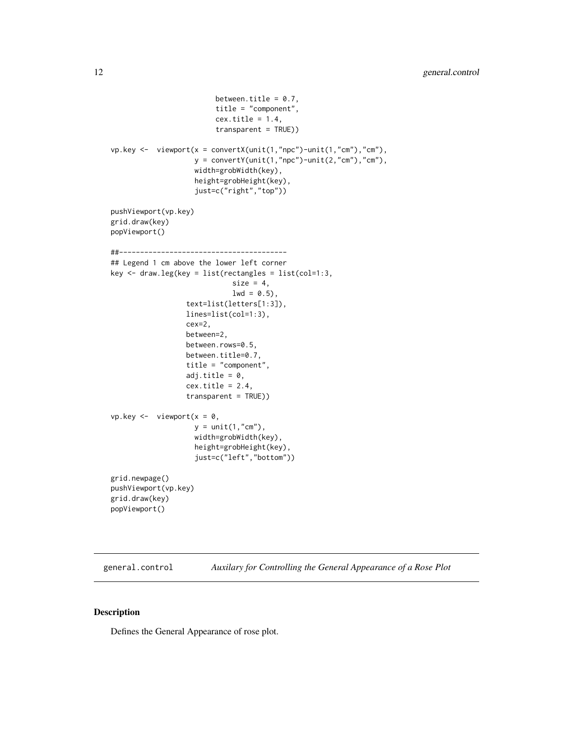```
between.title = 0.7,
                         title = "component",
                         cex.title = 1.4,transparent = TRUE))
vp.key <- viewport(x = convertX(unit(1,"npc")-unit(1,"cm"),"cm"),
                    y = convertY(unit(1,"npc")-unit(2,"cm"),"cm"),
                    width=grobWidth(key),
                    height=grobHeight(key),
                    just=c("right","top"))
pushViewport(vp.key)
grid.draw(key)
popViewport()
##----------------------------------------
## Legend 1 cm above the lower left corner
key <- draw.leg(key = list(rectangles = list(col=1:3,
                             size = 4,1wd = 0.5,
                  text=list(letters[1:3]),
                  lines=list(col=1:3),
                  cex=2,
                  between=2,
                  between.rows=0.5,
                  between.title=0.7,
                  title = "component",
                  adj.title = 0,
                  cex.title = 2.4,transparent = TRUE))
vp. key < - viewport(x = 0,
                    y = unit(1, "cm"),
                    width=grobWidth(key),
                    height=grobHeight(key),
                    just=c("left","bottom"))
grid.newpage()
pushViewport(vp.key)
grid.draw(key)
popViewport()
```

```
general.control Auxilary for Controlling the General Appearance of a Rose Plot
```
Defines the General Appearance of rose plot.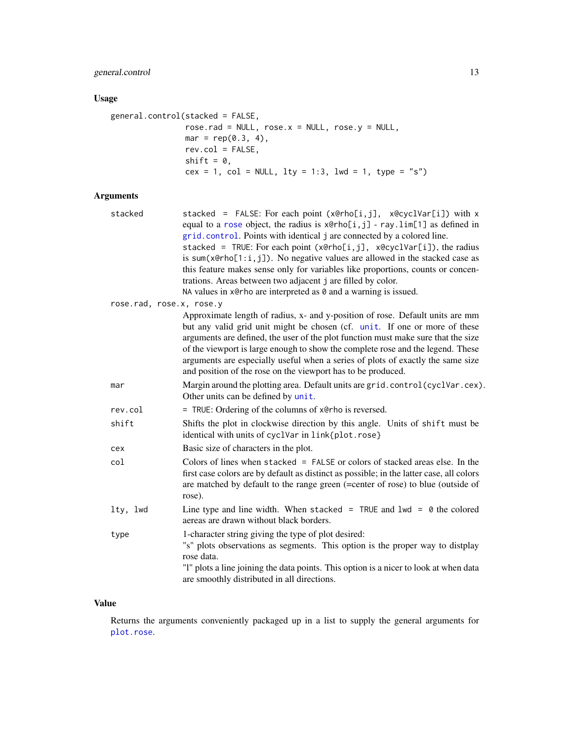# <span id="page-12-0"></span>general.control 13

# Usage

```
general.control(stacked = FALSE,
               rose.rad = NULL, rose.x = NULL, rose.y = NULL,
               mar = rep(0.3, 4),rev.col = FALSE,
               shift = 0,cex = 1, col = NULL, lty = 1:3, lwd = 1, type = "s")
```
# Arguments

| stacked                  | stacked = FALSE: For each point (x@rho[i,j], x@cyclVar[i]) with x<br>equal to a rose object, the radius is $x \in h[1, j]$ - ray. $\lim[1]$ as defined in<br>grid.control. Points with identical j are connected by a colored line.<br>stacked = TRUE: For each point (x@rho[i,j], x@cyclVar[i]), the radius<br>is sum( $x@rho[1:i,j]$ ). No negative values are allowed in the stacked case as<br>this feature makes sense only for variables like proportions, counts or concen-<br>trations. Areas between two adjacent j are filled by color.<br>NA values in x@rho are interpreted as 0 and a warning is issued. |
|--------------------------|-----------------------------------------------------------------------------------------------------------------------------------------------------------------------------------------------------------------------------------------------------------------------------------------------------------------------------------------------------------------------------------------------------------------------------------------------------------------------------------------------------------------------------------------------------------------------------------------------------------------------|
| rose.rad, rose.x, rose.y |                                                                                                                                                                                                                                                                                                                                                                                                                                                                                                                                                                                                                       |
|                          | Approximate length of radius, x- and y-position of rose. Default units are mm<br>but any valid grid unit might be chosen (cf. unit. If one or more of these<br>arguments are defined, the user of the plot function must make sure that the size<br>of the viewport is large enough to show the complete rose and the legend. These<br>arguments are especially useful when a series of plots of exactly the same size<br>and position of the rose on the viewport has to be produced.                                                                                                                                |
| mar                      | Margin around the plotting area. Default units are grid.control(cyclVar.cex).<br>Other units can be defined by unit.                                                                                                                                                                                                                                                                                                                                                                                                                                                                                                  |
| rev.col                  | = TRUE: Ordering of the columns of x@rho is reversed.                                                                                                                                                                                                                                                                                                                                                                                                                                                                                                                                                                 |
| shift                    | Shifts the plot in clockwise direction by this angle. Units of shift must be<br>identical with units of cyclVar in link{plot.rose}                                                                                                                                                                                                                                                                                                                                                                                                                                                                                    |
| cex                      | Basic size of characters in the plot.                                                                                                                                                                                                                                                                                                                                                                                                                                                                                                                                                                                 |
| col                      | Colors of lines when stacked = FALSE or colors of stacked areas else. In the<br>first case colors are by default as distinct as possible; in the latter case, all colors<br>are matched by default to the range green (=center of rose) to blue (outside of<br>rose).                                                                                                                                                                                                                                                                                                                                                 |
| lty, lwd                 | Line type and line width. When stacked = TRUE and $1wd = 0$ the colored<br>aereas are drawn without black borders.                                                                                                                                                                                                                                                                                                                                                                                                                                                                                                    |
| type                     | 1-character string giving the type of plot desired:<br>"s" plots observations as segments. This option is the proper way to distplay<br>rose data.<br>"I" plots a line joining the data points. This option is a nicer to look at when data<br>are smoothly distributed in all directions.                                                                                                                                                                                                                                                                                                                            |

# Value

Returns the arguments conveniently packaged up in a list to supply the general arguments for [plot.rose](#page-40-1).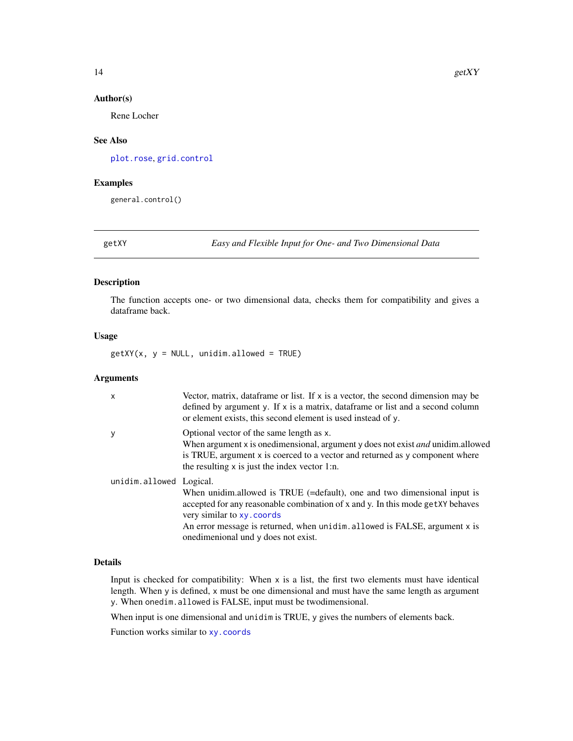#### Author(s)

Rene Locher

#### See Also

[plot.rose](#page-40-1), [grid.control](#page-14-1)

#### Examples

general.control()

getXY *Easy and Flexible Input for One- and Two Dimensional Data*

# Description

The function accepts one- or two dimensional data, checks them for compatibility and gives a dataframe back.

#### Usage

 $getXY(x, y = NULL, unidim.allowed = TRUE)$ 

#### Arguments

| X                       | Vector, matrix, data frame or list. If $x$ is a vector, the second dimension may be<br>defined by argument y. If x is a matrix, dataframe or list and a second column<br>or element exists, this second element is used instead of y.                                                                            |
|-------------------------|------------------------------------------------------------------------------------------------------------------------------------------------------------------------------------------------------------------------------------------------------------------------------------------------------------------|
| у                       | Optional vector of the same length as x.<br>When argument x is one dimensional, argument y does not exist <i>and</i> unidim.allowed<br>is TRUE, argument x is coerced to a vector and returned as y component where<br>the resulting x is just the index vector 1:n.                                             |
| unidim.allowed Logical. | When unidim.allowed is TRUE (=default), one and two dimensional input is<br>accepted for any reasonable combination of x and y. In this mode get XY behaves<br>very similar to xy. coords<br>An error message is returned, when unidim. allowed is FALSE, argument x is<br>one dimensional und y does not exist. |

# Details

Input is checked for compatibility: When  $x$  is a list, the first two elements must have identical length. When y is defined, x must be one dimensional and must have the same length as argument y. When onedim.allowed is FALSE, input must be twodimensional.

When input is one dimensional and unidim is TRUE, y gives the numbers of elements back.

Function works similar to [xy.coords](#page-0-0)

<span id="page-13-0"></span>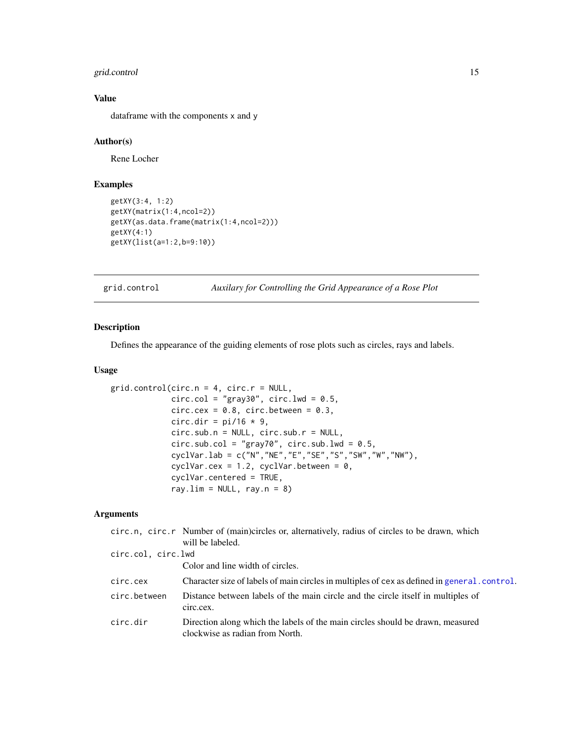# <span id="page-14-0"></span>grid.control 15

# Value

dataframe with the components x and y

#### Author(s)

Rene Locher

# Examples

```
getXY(3:4, 1:2)
getXY(matrix(1:4,ncol=2))
getXY(as.data.frame(matrix(1:4,ncol=2)))
getXY(4:1)
getXY(list(a=1:2,b=9:10))
```
<span id="page-14-1"></span>grid.control *Auxilary for Controlling the Grid Appearance of a Rose Plot*

# Description

Defines the appearance of the guiding elements of rose plots such as circles, rays and labels.

# Usage

```
grid.contrib(circ.n = 4, circ.r = NULL,circ.col = "gray30", circ.lwd = 0.5,
             circ.cex = 0.8, circ.between = 0.3,
             circ.dir = pi/16 * 9,
             circ.sub.n = NULL, circ.sub.r = NULL,
             circ.sub.col = "gray70", circ.sub.lwd = 0.5,
             cyclVar.lab = c("N","NE","E","SE","S","SW","W","NW"),
             cyclVar.cex = 1.2, cyclVar.between = 0,
             cyclVar.centered = TRUE,
             ray.lim = NULL, ray.n = 8)
```
# Arguments

|                    | circ.n, circ.r Number of (main)circles or, alternatively, radius of circles to be drawn, which                    |
|--------------------|-------------------------------------------------------------------------------------------------------------------|
|                    | will be labeled.                                                                                                  |
| circ.col, circ.lwd |                                                                                                                   |
|                    | Color and line width of circles.                                                                                  |
| circ.cex           | Character size of labels of main circles in multiples of cex as defined in general.control.                       |
| circ.between       | Distance between labels of the main circle and the circle itself in multiples of<br>circ.cex.                     |
| circ.dir           | Direction along which the labels of the main circles should be drawn, measured<br>clockwise as radian from North. |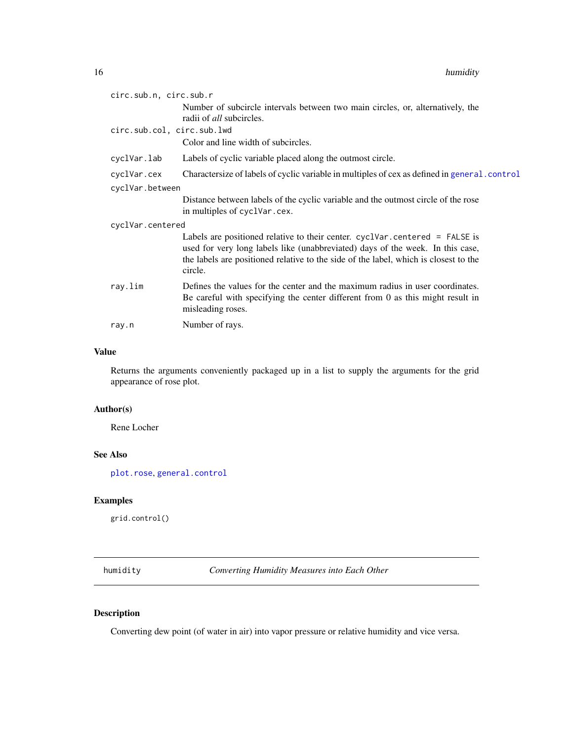<span id="page-15-0"></span>

| circ.sub.n, circ.sub.r     |                                                                                                                                                                                                                                                                    |  |
|----------------------------|--------------------------------------------------------------------------------------------------------------------------------------------------------------------------------------------------------------------------------------------------------------------|--|
|                            | Number of subcircle intervals between two main circles, or, alternatively, the<br>radii of <i>all</i> subcircles.                                                                                                                                                  |  |
| circ.sub.col, circ.sub.lwd |                                                                                                                                                                                                                                                                    |  |
|                            | Color and line width of subcircles.                                                                                                                                                                                                                                |  |
| cyclVar.lab                | Labels of cyclic variable placed along the outmost circle.                                                                                                                                                                                                         |  |
| cyclVar.cex                | Charactersize of labels of cyclic variable in multiples of cex as defined in general.control                                                                                                                                                                       |  |
| cyclVar.between            |                                                                                                                                                                                                                                                                    |  |
|                            | Distance between labels of the cyclic variable and the outmost circle of the rose<br>in multiples of cyclVar.cex.                                                                                                                                                  |  |
| cyclVar.centered           |                                                                                                                                                                                                                                                                    |  |
|                            | Labels are positioned relative to their center. cyclVar.centered $=$ FALSE is<br>used for very long labels like (unabbreviated) days of the week. In this case,<br>the labels are positioned relative to the side of the label, which is closest to the<br>circle. |  |
| ray.lim                    | Defines the values for the center and the maximum radius in user coordinates.<br>Be careful with specifying the center different from 0 as this might result in<br>misleading roses.                                                                               |  |
| ray.n                      | Number of rays.                                                                                                                                                                                                                                                    |  |

# Value

Returns the arguments conveniently packaged up in a list to supply the arguments for the grid appearance of rose plot.

# Author(s)

Rene Locher

# See Also

[plot.rose](#page-40-1), [general.control](#page-11-1)

# Examples

grid.control()

humidity *Converting Humidity Measures into Each Other*

# Description

Converting dew point (of water in air) into vapor pressure or relative humidity and vice versa.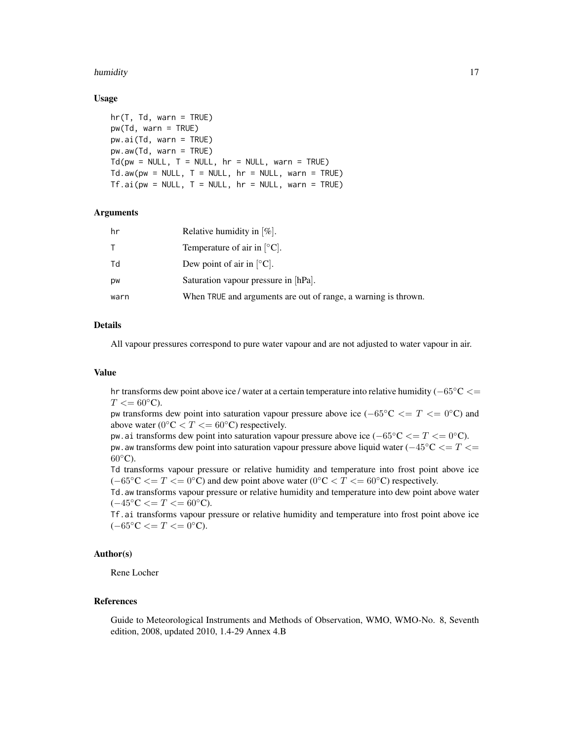#### humidity that the contract of the contract of the contract of the contract of the contract of the contract of the contract of the contract of the contract of the contract of the contract of the contract of the contract of

#### Usage

```
hr(T, Td, warn = TRUE)pw(Td, warn = TRUE)
pw.ai(Td, warn = TRUE)
pw.aw(Td, warn = TRUE)
Td(pw = NULL, T = NULL, hr = NULL, warn = TRUE)Td.aw(pw = NULL, T = NULL, hr = NULL, warn = TRUE)Tf.ai(pw = NULL, T = NULL, hr = NULL, warn = TRUE)
```
#### Arguments

| hr   | Relative humidity in $[\%]$ .                                  |
|------|----------------------------------------------------------------|
| T.   | Temperature of air in $\lbrack \circ C \rbrack$ .              |
| Td   | Dew point of air in $\lceil \circ C \rceil$ .                  |
| pw   | Saturation vapour pressure in [hPa].                           |
| warn | When TRUE and arguments are out of range, a warning is thrown. |

# Details

All vapour pressures correspond to pure water vapour and are not adjusted to water vapour in air.

#### Value

hr transforms dew point above ice / water at a certain temperature into relative humidity (−65◦C <=  $T \leq 60^{\circ}$ C).

pw transforms dew point into saturation vapour pressure above ice ( $-65\degree C \leq T \leq 0\degree C$ ) and above water ( $0^{\circ}$ C < T <= 60 $^{\circ}$ C) respectively.

pw.ai transforms dew point into saturation vapour pressure above ice ( $-65\degree C \leq T \leq 0\degree C$ ). pw. aw transforms dew point into saturation vapour pressure above liquid water ( $-45\degree C \leq T \leq$  $60^{\circ}$ C).

Td transforms vapour pressure or relative humidity and temperature into frost point above ice  $(-65\degree \text{C} \leq T \leq 0\degree \text{C})$  and dew point above water  $(0\degree \text{C} \leq T \leq 60\degree \text{C})$  respectively.

Td.aw transforms vapour pressure or relative humidity and temperature into dew point above water  $(-45°C < = T < = 60°C)$ .

Tf.ai transforms vapour pressure or relative humidity and temperature into frost point above ice  $(-65°C \leq T \leq 0°C).$ 

# Author(s)

Rene Locher

#### References

Guide to Meteorological Instruments and Methods of Observation, WMO, WMO-No. 8, Seventh edition, 2008, updated 2010, 1.4-29 Annex 4.B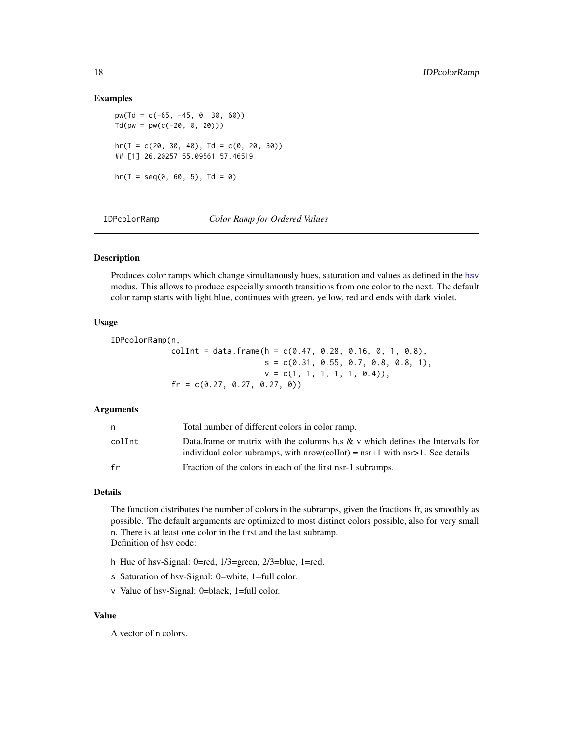#### Examples

```
pw(Td = c(-65, -45, 0, 30, 60))Td(pw = pw(c(-20, 0, 20)))hr(T = c(20, 30, 40), Td = c(0, 20, 30))## [1] 26.20257 55.09561 57.46519
hr(T = seq(0, 60, 5), Td = 0)
```
<span id="page-17-1"></span>IDPcolorRamp *Color Ramp for Ordered Values*

# Description

Produces color ramps which change simultanously hues, saturation and values as defined in the [hsv](#page-0-0) modus. This allows to produce especially smooth transitions from one color to the next. The default color ramp starts with light blue, continues with green, yellow, red and ends with dark violet.

#### Usage

```
IDPcolorRamp(n,
            collInt = data frame(h = c(0.47, 0.28, 0.16, 0, 1, 0.8),s = c(0.31, 0.55, 0.7, 0.8, 0.8, 1),v = c(1, 1, 1, 1, 1, 0.4),
            fr = c(0.27, 0.27, 0.27, 0)
```
#### Arguments

| n      | Total number of different colors in color ramp.                                                                                                                       |
|--------|-----------------------------------------------------------------------------------------------------------------------------------------------------------------------|
| colInt | Data frame or matrix with the columns h,s $\&$ v which defines the Intervals for<br>individual color subramps, with $nrow(collnt) = nsr+1$ with $nsr>1$ . See details |
| fr     | Fraction of the colors in each of the first nsr-1 subramps.                                                                                                           |

# Details

The function distributes the number of colors in the subramps, given the fractions fr, as smoothly as possible. The default arguments are optimized to most distinct colors possible, also for very small n. There is at least one color in the first and the last subramp. Definition of hsv code:

- h Hue of hsv-Signal: 0=red, 1/3=green, 2/3=blue, 1=red.
- s Saturation of hsv-Signal: 0=white, 1=full color.
- v Value of hsv-Signal: 0=black, 1=full color.

#### Value

A vector of n colors.

<span id="page-17-0"></span>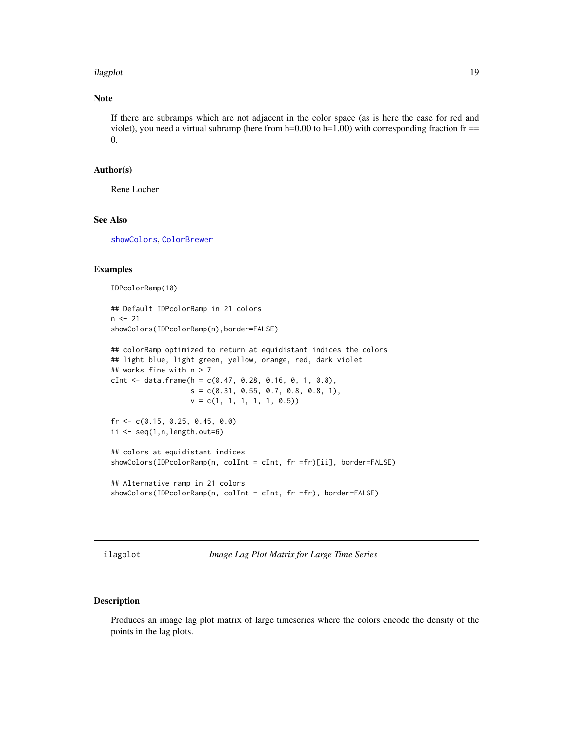#### <span id="page-18-0"></span>ilagplot the contract of the contract of the contract of the contract of the contract of the contract of the contract of the contract of the contract of the contract of the contract of the contract of the contract of the c

# Note

If there are subramps which are not adjacent in the color space (as is here the case for red and violet), you need a virtual subramp (here from  $h=0.00$  to  $h=1.00$ ) with corresponding fraction fr  $==$ 0.

#### Author(s)

Rene Locher

#### See Also

[showColors](#page-51-1), [ColorBrewer](#page-0-0)

#### Examples

IDPcolorRamp(10)

```
## Default IDPcolorRamp in 21 colors
n < -21showColors(IDPcolorRamp(n),border=FALSE)
```

```
## colorRamp optimized to return at equidistant indices the colors
## light blue, light green, yellow, orange, red, dark violet
## works fine with n > 7
cInt <- data.frame(h = c(0.47, 0.28, 0.16, 0, 1, 0.8),
                   s = c(0.31, 0.55, 0.7, 0.8, 0.8, 1),v = c(1, 1, 1, 1, 1, 0.5)fr <- c(0.15, 0.25, 0.45, 0.0)
ii \leq seq(1, n, length.out=6)## colors at equidistant indices
showColors(IDPcolorRamp(n, colInt = cInt, fr =fr)[ii], border=FALSE)
## Alternative ramp in 21 colors
```

```
showColors(IDPcolorRamp(n, colInt = cInt, fr =fr), border=FALSE)
```
<span id="page-18-1"></span>ilagplot *Image Lag Plot Matrix for Large Time Series*

#### Description

Produces an image lag plot matrix of large timeseries where the colors encode the density of the points in the lag plots.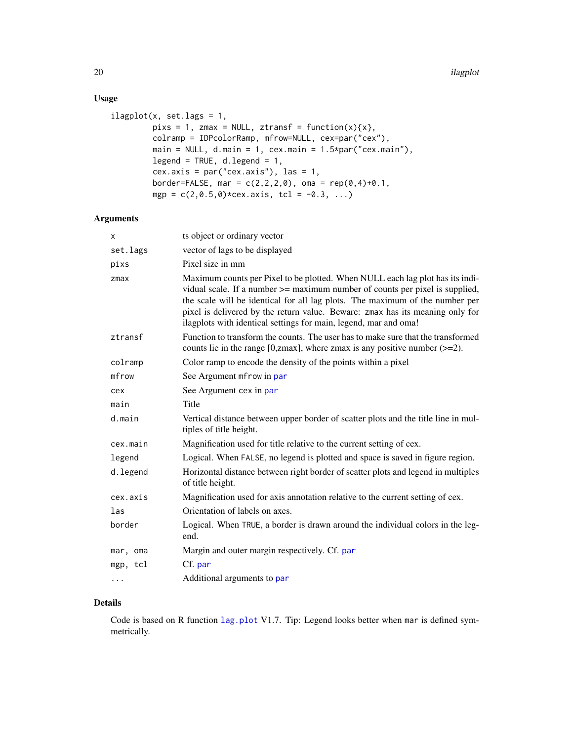# Usage

```
ilagplot(x, set.lags = 1,pixs = 1, zmax = NULL, ztransf = function(x)\{x\},
         colramp = IDPcolorRamp, mfrow=NULL, cex=par("cex"),
        main = NULL, d.main = 1, cex.main = 1.5*par("cex.main"),
        legend = TRUE, d. legend = 1,cex.axis = par("cex.axis"), las = 1,
         border=FALSE, mar = c(2,2,2,0), oma = rep(0,4)+0.1,
        mgp = c(2, 0.5, 0) * cex. axis, tcl = -0.3, ...)
```
# Arguments

| x        | ts object or ordinary vector                                                                                                                                                                                                                                                                                                                                                                            |
|----------|---------------------------------------------------------------------------------------------------------------------------------------------------------------------------------------------------------------------------------------------------------------------------------------------------------------------------------------------------------------------------------------------------------|
| set.lags | vector of lags to be displayed                                                                                                                                                                                                                                                                                                                                                                          |
| pixs     | Pixel size in mm                                                                                                                                                                                                                                                                                                                                                                                        |
| zmax     | Maximum counts per Pixel to be plotted. When NULL each lag plot has its indi-<br>vidual scale. If a number $\ge$ = maximum number of counts per pixel is supplied,<br>the scale will be identical for all lag plots. The maximum of the number per<br>pixel is delivered by the return value. Beware: zmax has its meaning only for<br>ilagplots with identical settings for main, legend, mar and oma! |
| ztransf  | Function to transform the counts. The user has to make sure that the transformed<br>counts lie in the range [0,zmax], where zmax is any positive number $(\geq=2)$ .                                                                                                                                                                                                                                    |
| colramp  | Color ramp to encode the density of the points within a pixel                                                                                                                                                                                                                                                                                                                                           |
| mfrow    | See Argument mfrow in par                                                                                                                                                                                                                                                                                                                                                                               |
| cex      | See Argument cex in par                                                                                                                                                                                                                                                                                                                                                                                 |
| main     | Title                                                                                                                                                                                                                                                                                                                                                                                                   |
| d.main   | Vertical distance between upper border of scatter plots and the title line in mul-<br>tiples of title height.                                                                                                                                                                                                                                                                                           |
| cex.main | Magnification used for title relative to the current setting of cex.                                                                                                                                                                                                                                                                                                                                    |
| legend   | Logical. When FALSE, no legend is plotted and space is saved in figure region.                                                                                                                                                                                                                                                                                                                          |
| d.legend | Horizontal distance between right border of scatter plots and legend in multiples<br>of title height.                                                                                                                                                                                                                                                                                                   |
| cex.axis | Magnification used for axis annotation relative to the current setting of cex.                                                                                                                                                                                                                                                                                                                          |
| las      | Orientation of labels on axes.                                                                                                                                                                                                                                                                                                                                                                          |
| border   | Logical. When TRUE, a border is drawn around the individual colors in the leg-<br>end.                                                                                                                                                                                                                                                                                                                  |
| mar, oma | Margin and outer margin respectively. Cf. par                                                                                                                                                                                                                                                                                                                                                           |
| mgp, tcl | Cf. par                                                                                                                                                                                                                                                                                                                                                                                                 |
| $\cdots$ | Additional arguments to par                                                                                                                                                                                                                                                                                                                                                                             |

# Details

Code is based on R function [lag.plot](#page-0-0) V1.7. Tip: Legend looks better when mar is defined symmetrically.

<span id="page-19-0"></span>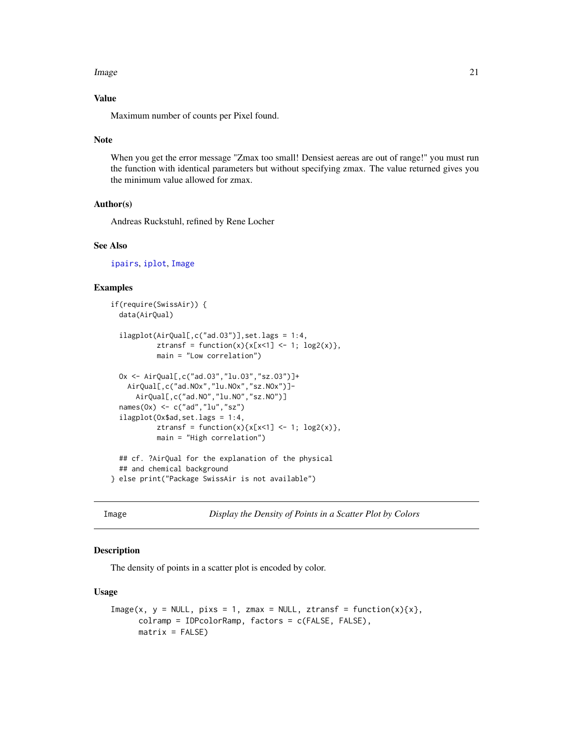#### <span id="page-20-0"></span>**Image** 21

# Value

Maximum number of counts per Pixel found.

#### Note

When you get the error message "Zmax too small! Densiest aereas are out of range!" you must run the function with identical parameters but without specifying zmax. The value returned gives you the minimum value allowed for zmax.

#### Author(s)

Andreas Ruckstuhl, refined by Rene Locher

# See Also

[ipairs](#page-22-1), [iplot](#page-26-1), [Image](#page-20-1)

# Examples

```
if(require(SwissAir)) {
 data(AirQual)
 ilagplot(AirQual[,c("ad.O3")],set.lags = 1:4,
           ztransf = function(x)\{x[x < 1] < -1; \log(2(x)\},\)main = "Low correlation")
 Ox <- AirQual[,c("ad.O3","lu.O3","sz.O3")]+
   AirQual[,c("ad.NOx","lu.NOx","sz.NOx")]-
     AirQual[,c("ad.NO","lu.NO","sz.NO")]
 names(Ox) <- c("ad","lu","sz")
 ilagplot(Ox$ad,set.lags = 1:4,
           ztransf = function(x){x[x<1] <- 1; log2(x)},
          main = "High correlation")
 ## cf. ?AirQual for the explanation of the physical
 ## and chemical background
} else print("Package SwissAir is not available")
```
<span id="page-20-1"></span>Image *Display the Density of Points in a Scatter Plot by Colors*

#### Description

The density of points in a scatter plot is encoded by color.

#### Usage

```
Image(x, y = NULL, pix = 1, zmax = NULL, ztransf = function(x){x},colramp = IDPcolorRamp, factors = c(FALSE, FALSE),
     matrix = FALSE)
```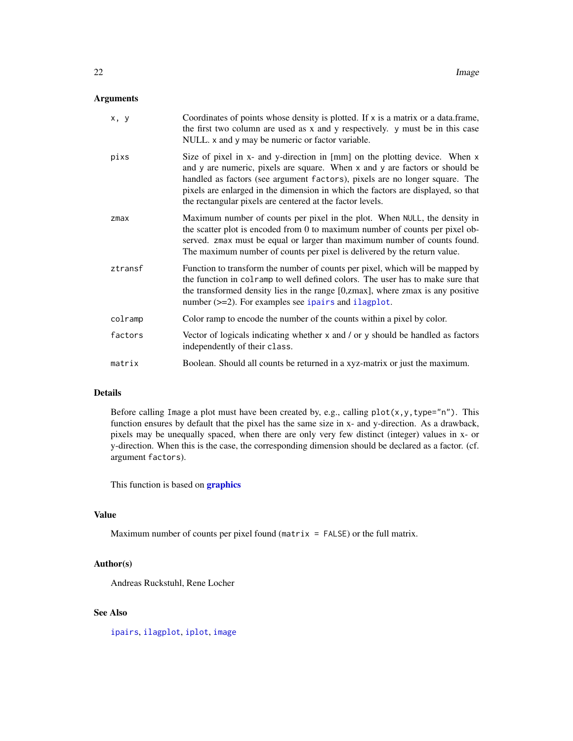# <span id="page-21-0"></span>Arguments

| x, y       | Coordinates of points whose density is plotted. If x is a matrix or a data.frame,<br>the first two column are used as x and y respectively. y must be in this case<br>NULL. x and y may be numeric or factor variable.                                                                                                                                                                    |
|------------|-------------------------------------------------------------------------------------------------------------------------------------------------------------------------------------------------------------------------------------------------------------------------------------------------------------------------------------------------------------------------------------------|
| pixs       | Size of pixel in x- and y-direction in [mm] on the plotting device. When x<br>and y are numeric, pixels are square. When x and y are factors or should be<br>handled as factors (see argument factors), pixels are no longer square. The<br>pixels are enlarged in the dimension in which the factors are displayed, so that<br>the rectangular pixels are centered at the factor levels. |
| $z$ ma $x$ | Maximum number of counts per pixel in the plot. When NULL, the density in<br>the scatter plot is encoded from 0 to maximum number of counts per pixel ob-<br>served. zmax must be equal or larger than maximum number of counts found.<br>The maximum number of counts per pixel is delivered by the return value.                                                                        |
| ztransf    | Function to transform the number of counts per pixel, which will be mapped by<br>the function in colramp to well defined colors. The user has to make sure that<br>the transformed density lies in the range [0,zmax], where zmax is any positive<br>number $(\geq=2)$ . For examples see ipairs and ilagplot.                                                                            |
| colramp    | Color ramp to encode the number of the counts within a pixel by color.                                                                                                                                                                                                                                                                                                                    |
| factors    | Vector of logicals indicating whether $x$ and $\prime$ or $y$ should be handled as factors<br>independently of their class.                                                                                                                                                                                                                                                               |
| matrix     | Boolean. Should all counts be returned in a xyz-matrix or just the maximum.                                                                                                                                                                                                                                                                                                               |

# Details

Before calling Image a plot must have been created by, e.g., calling  $plot(x, y, type="n")$ . This function ensures by default that the pixel has the same size in x- and y-direction. As a drawback, pixels may be unequally spaced, when there are only very few distinct (integer) values in x- or y-direction. When this is the case, the corresponding dimension should be declared as a factor. (cf. argument factors).

This function is based on **[graphics](#page-0-0)** 

# Value

Maximum number of counts per pixel found (matrix  $=$  FALSE) or the full matrix.

# Author(s)

Andreas Ruckstuhl, Rene Locher

# See Also

[ipairs](#page-22-1), [ilagplot](#page-18-1), [iplot](#page-26-1), [image](#page-0-0)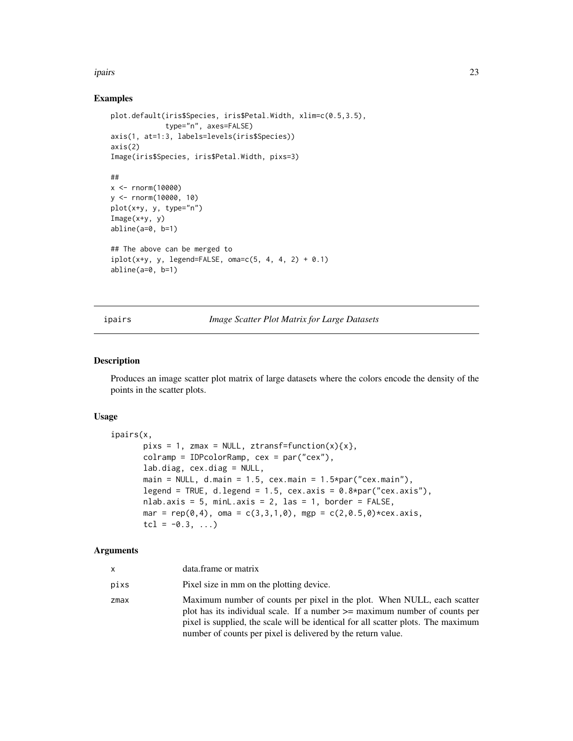#### <span id="page-22-0"></span>ipairs 23

# Examples

```
plot.default(iris$Species, iris$Petal.Width, xlim=c(0.5,3.5),
             type="n", axes=FALSE)
axis(1, at=1:3, labels=levels(iris$Species))
axis(2)
Image(iris$Species, iris$Petal.Width, pixs=3)
##
x <- rnorm(10000)
y <- rnorm(10000, 10)
plot(x+y, y, type="n")
Image(x+y, y)
abline(a=0, b=1)
## The above can be merged to
iplot(x+y, y, legend=FALSE, oma=c(5, 4, 4, 2) + 0.1)abline(a=0, b=1)
```
ipairs *Image Scatter Plot Matrix for Large Datasets*

# Description

Produces an image scatter plot matrix of large datasets where the colors encode the density of the points in the scatter plots.

# Usage

```
ipairs(x,
       pixS = 1, zmax = NULL, ztransf=function(x){x},
       colramp = IDPcolorRamp, cex = par("cex"),
       lab.diag, cex.diag = NULL,
       main = NULL, d.mainloop = 1.5, cex.mainloop = 1.5 * par("cex.mainloop",legend = TRUE, d.legend = 1.5, cex.axis = 0.8*par("cex.axis"),
       nlab.axis = 5, minL.axis = 2, las = 1, border = FALSE,
       mar = rep(0,4), oma = c(3,3,1,0), mgp = c(2,0.5,0)*cex.axistcl = -0.3, ...
```
#### Arguments

| x    | data.frame or matrix                                                                                                                                                                                                                                                                                          |
|------|---------------------------------------------------------------------------------------------------------------------------------------------------------------------------------------------------------------------------------------------------------------------------------------------------------------|
| pixs | Pixel size in mm on the plotting device.                                                                                                                                                                                                                                                                      |
| zmax | Maximum number of counts per pixel in the plot. When NULL, each scatter<br>plot has its individual scale. If a number $\ge$ maximum number of counts per<br>pixel is supplied, the scale will be identical for all scatter plots. The maximum<br>number of counts per pixel is delivered by the return value. |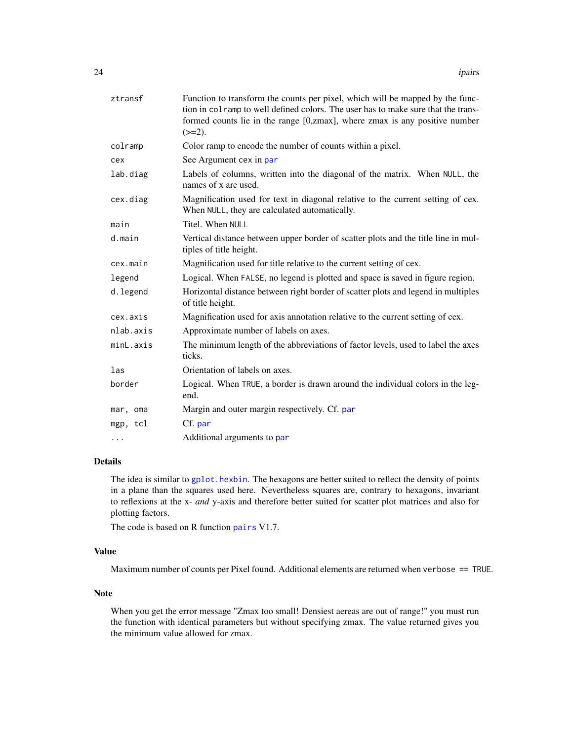<span id="page-23-0"></span>

| ztransf   | Function to transform the counts per pixel, which will be mapped by the func-<br>tion in colramp to well defined colors. The user has to make sure that the trans-<br>formed counts lie in the range [0,zmax], where zmax is any positive number<br>$(>=2)$ . |
|-----------|---------------------------------------------------------------------------------------------------------------------------------------------------------------------------------------------------------------------------------------------------------------|
| colramp   | Color ramp to encode the number of counts within a pixel.                                                                                                                                                                                                     |
| cex       | See Argument cex in par                                                                                                                                                                                                                                       |
| lab.diag  | Labels of columns, written into the diagonal of the matrix. When NULL, the<br>names of x are used.                                                                                                                                                            |
| cex.diag  | Magnification used for text in diagonal relative to the current setting of cex.<br>When NULL, they are calculated automatically.                                                                                                                              |
| main      | Titel. When NULL                                                                                                                                                                                                                                              |
| d.main    | Vertical distance between upper border of scatter plots and the title line in mul-<br>tiples of title height.                                                                                                                                                 |
| cex.main  | Magnification used for title relative to the current setting of cex.                                                                                                                                                                                          |
| legend    | Logical. When FALSE, no legend is plotted and space is saved in figure region.                                                                                                                                                                                |
| d.legend  | Horizontal distance between right border of scatter plots and legend in multiples<br>of title height.                                                                                                                                                         |
| cex.axis  | Magnification used for axis annotation relative to the current setting of cex.                                                                                                                                                                                |
| nlab.axis | Approximate number of labels on axes.                                                                                                                                                                                                                         |
| minL.axis | The minimum length of the abbreviations of factor levels, used to label the axes<br>ticks.                                                                                                                                                                    |
| las       | Orientation of labels on axes.                                                                                                                                                                                                                                |
| border    | Logical. When TRUE, a border is drawn around the individual colors in the leg-<br>end.                                                                                                                                                                        |
| mar, oma  | Margin and outer margin respectively. Cf. par                                                                                                                                                                                                                 |
| mgp, tcl  | Cf. par                                                                                                                                                                                                                                                       |
| $\cdots$  | Additional arguments to par                                                                                                                                                                                                                                   |
|           |                                                                                                                                                                                                                                                               |

# Details

The idea is similar to [gplot.hexbin](#page-0-0). The hexagons are better suited to reflect the density of points in a plane than the squares used here. Nevertheless squares are, contrary to hexagons, invariant to reflexions at the x- *and* y-axis and therefore better suited for scatter plot matrices and also for plotting factors.

The code is based on R function [pairs](#page-0-0) V1.7.

# Value

Maximum number of counts per Pixel found. Additional elements are returned when verbose == TRUE.

### Note

When you get the error message "Zmax too small! Densiest aereas are out of range!" you must run the function with identical parameters but without specifying zmax. The value returned gives you the minimum value allowed for zmax.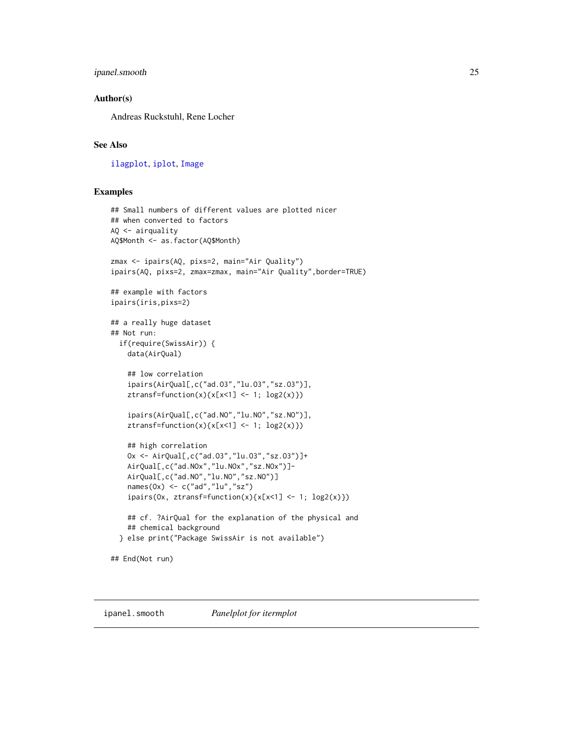# <span id="page-24-0"></span>ipanel.smooth 25

#### Author(s)

Andreas Ruckstuhl, Rene Locher

# See Also

[ilagplot](#page-18-1), [iplot](#page-26-1), [Image](#page-20-1)

#### Examples

```
## Small numbers of different values are plotted nicer
## when converted to factors
AQ <- airquality
AQ$Month <- as.factor(AQ$Month)
zmax <- ipairs(AQ, pixs=2, main="Air Quality")
ipairs(AQ, pixs=2, zmax=zmax, main="Air Quality",border=TRUE)
## example with factors
ipairs(iris,pixs=2)
## a really huge dataset
## Not run:
 if(require(SwissAir)) {
   data(AirQual)
    ## low correlation
    ipairs(AirQual[,c("ad.O3","lu.O3","sz.O3")],
   ztransf=function(x){x[x<1] <- 1; log2(x)})
    ipairs(AirQual[,c("ad.NO","lu.NO","sz.NO")],
    ztransf=function(x){x[x<1] < -1; log2(x)})## high correlation
   Ox <- AirQual[,c("ad.O3","lu.O3","sz.O3")]+
   AirQual[,c("ad.NOx","lu.NOx","sz.NOx")]-
   AirQual[,c("ad.NO","lu.NO","sz.NO")]
   names(0x) <- c("ad","lu","sz")
    ipairs(0x, ztransfer-function(x){x[x<1] < -1; log2(x)})## cf. ?AirQual for the explanation of the physical and
    ## chemical background
 } else print("Package SwissAir is not available")
## End(Not run)
```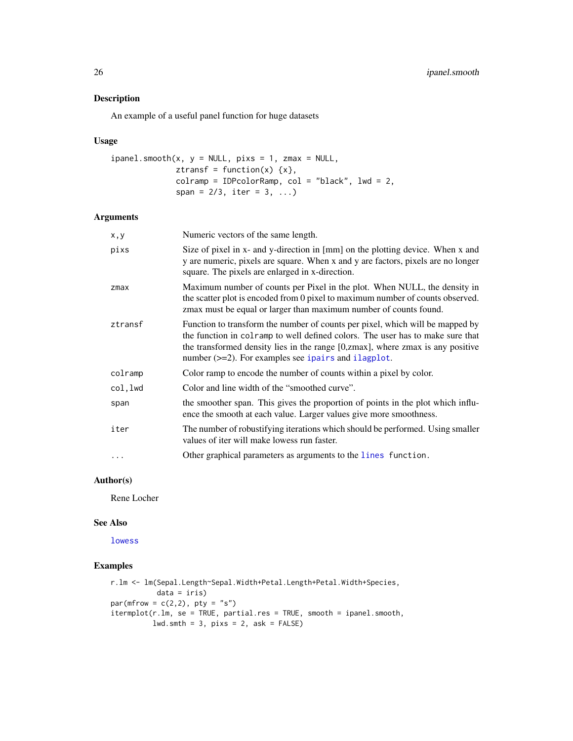An example of a useful panel function for huge datasets

#### Usage

```
ipanel.smooth(x, y = NULL, pix = 1, zmax = NULL,ztransf = function(x) \{x\},
              colramp = IDPcolorRamp, col = "black", lwd = 2,
              span = 2/3, iter = 3, ...)
```
### Arguments

| x,y      | Numeric vectors of the same length.                                                                                                                                                                                                                                                                            |
|----------|----------------------------------------------------------------------------------------------------------------------------------------------------------------------------------------------------------------------------------------------------------------------------------------------------------------|
| pixs     | Size of pixel in x- and y-direction in [mm] on the plotting device. When x and<br>y are numeric, pixels are square. When x and y are factors, pixels are no longer<br>square. The pixels are enlarged in x-direction.                                                                                          |
| zmax     | Maximum number of counts per Pixel in the plot. When NULL, the density in<br>the scatter plot is encoded from 0 pixel to maximum number of counts observed.<br>zmax must be equal or larger than maximum number of counts found.                                                                               |
| ztransf  | Function to transform the number of counts per pixel, which will be mapped by<br>the function in colramp to well defined colors. The user has to make sure that<br>the transformed density lies in the range [0,zmax], where zmax is any positive<br>number $(\geq=2)$ . For examples see ipairs and ilagplot. |
| colramp  | Color ramp to encode the number of counts within a pixel by color.                                                                                                                                                                                                                                             |
| col,lwd  | Color and line width of the "smoothed curve".                                                                                                                                                                                                                                                                  |
| span     | the smoother span. This gives the proportion of points in the plot which influ-<br>ence the smooth at each value. Larger values give more smoothness.                                                                                                                                                          |
| iter     | The number of robustifying iterations which should be performed. Using smaller<br>values of iter will make lowess run faster.                                                                                                                                                                                  |
| $\ddots$ | Other graphical parameters as arguments to the lines function.                                                                                                                                                                                                                                                 |
|          |                                                                                                                                                                                                                                                                                                                |

# Author(s)

Rene Locher

#### See Also

[lowess](#page-0-0)

# Examples

```
r.lm <- lm(Sepal.Length~Sepal.Width+Petal.Length+Petal.Width+Species,
          data = iris)
par(mfrow = c(2,2), pty = "s")
itermplot(r.lm, se = TRUE, partial.res = TRUE, smooth = ipanel.smooth,
         lwd.smth = 3, pix = 2, ask = FALSE)
```
<span id="page-25-0"></span>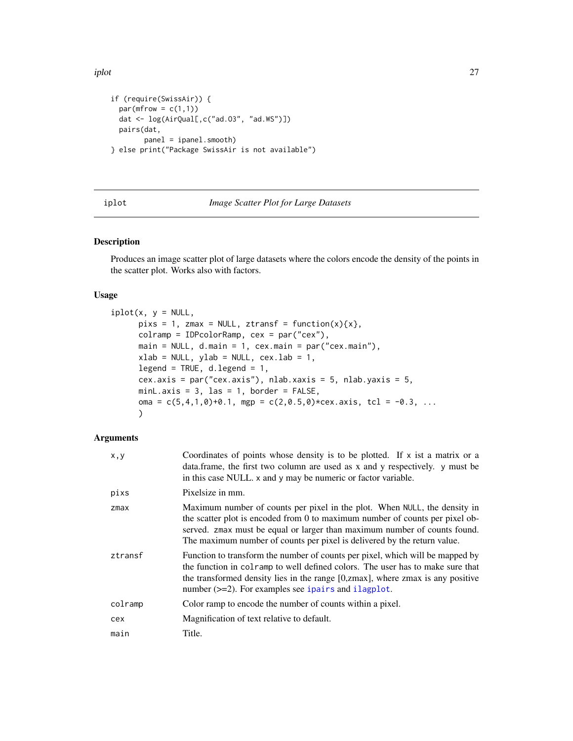<span id="page-26-0"></span>iplot the contract of the contract of the contract of the contract of the contract of the contract of the contract of the contract of the contract of the contract of the contract of the contract of the contract of the cont

```
if (require(SwissAir)) {
 par(mfrow = c(1,1))dat <- log(AirQual[,c("ad.O3", "ad.WS")])
 pairs(dat,
       panel = ipanel.smooth)
} else print("Package SwissAir is not available")
```
<span id="page-26-1"></span>

#### iplot *Image Scatter Plot for Large Datasets*

# Description

Produces an image scatter plot of large datasets where the colors encode the density of the points in the scatter plot. Works also with factors.

#### Usage

```
iplot(x, y = NULL,pixs = 1, zmax = NULL, ztransf = function(x){x},
     colramp = IDPcolorRamp, cex = par("cex"),
     main = NULL, d.main = 1, cex.main = par("cex.main"),
     xlab = NULL, ylab = NULL, cex.lab = 1,
     legend = TRUE, d. legend = 1,cex.axis = par("cex.axis"), nlab.xaxis = 5, nlab.yaxis = 5,
     minL.axis = 3, las = 1, border = FALSE,
     oma = c(5,4,1,0)+0.1, mgp = c(2,0.5,0)*cex. axis, tcl = -0.3, ...
     )
```
# Arguments

| x, y    | Coordinates of points whose density is to be plotted. If x ist a matrix or a<br>data.frame, the first two column are used as x and y respectively. y must be<br>in this case NULL. x and y may be numeric or factor variable.                                                                                      |
|---------|--------------------------------------------------------------------------------------------------------------------------------------------------------------------------------------------------------------------------------------------------------------------------------------------------------------------|
| pixs    | Pixelsize in mm.                                                                                                                                                                                                                                                                                                   |
| zmax    | Maximum number of counts per pixel in the plot. When NULL, the density in<br>the scatter plot is encoded from 0 to maximum number of counts per pixel ob-<br>served. zmax must be equal or larger than maximum number of counts found.<br>The maximum number of counts per pixel is delivered by the return value. |
| ztransf | Function to transform the number of counts per pixel, which will be mapped by<br>the function in colramp to well defined colors. The user has to make sure that<br>the transformed density lies in the range [0,zmax], where zmax is any positive<br>number (>=2). For examples see ipairs and ilagplot.           |
| colramp | Color ramp to encode the number of counts within a pixel.                                                                                                                                                                                                                                                          |
| cex     | Magnification of text relative to default.                                                                                                                                                                                                                                                                         |
| main    | Title.                                                                                                                                                                                                                                                                                                             |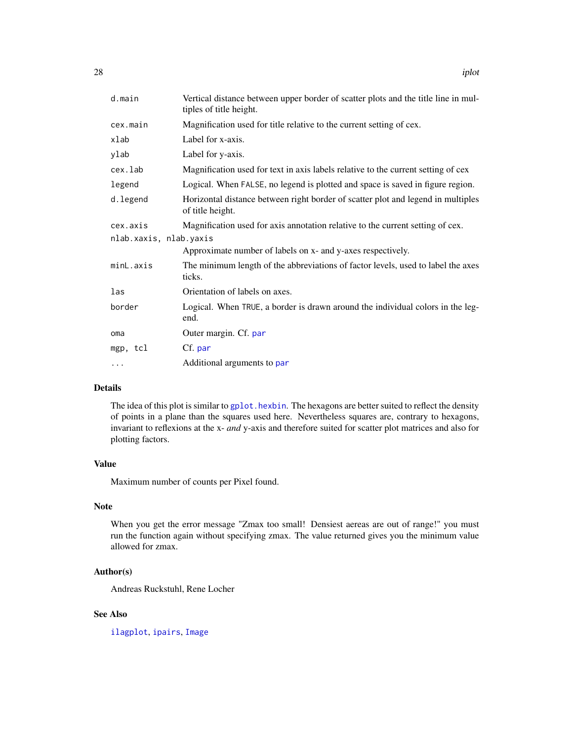<span id="page-27-0"></span>

| d.main                 | Vertical distance between upper border of scatter plots and the title line in mul-<br>tiples of title height. |  |
|------------------------|---------------------------------------------------------------------------------------------------------------|--|
| cex.main               | Magnification used for title relative to the current setting of cex.                                          |  |
| xlab                   | Label for x-axis.                                                                                             |  |
| ylab                   | Label for y-axis.                                                                                             |  |
| cex.lab                | Magnification used for text in axis labels relative to the current setting of cex                             |  |
| legend                 | Logical. When FALSE, no legend is plotted and space is saved in figure region.                                |  |
| d.legend               | Horizontal distance between right border of scatter plot and legend in multiples<br>of title height.          |  |
| cex.axis               | Magnification used for axis annotation relative to the current setting of cex.                                |  |
| nlab.xaxis, nlab.yaxis |                                                                                                               |  |
|                        | Approximate number of labels on x- and y-axes respectively.                                                   |  |
| minL.axis              | The minimum length of the abbreviations of factor levels, used to label the axes<br>ticks.                    |  |
| las                    | Orientation of labels on axes.                                                                                |  |
| border                 | Logical. When TRUE, a border is drawn around the individual colors in the leg-<br>end.                        |  |
| oma                    | Outer margin. Cf. par                                                                                         |  |
| mgp, tcl               | Cf. par                                                                                                       |  |
| $\cdots$               | Additional arguments to par                                                                                   |  |

#### Details

The idea of this plot is similar to [gplot.hexbin](#page-0-0). The hexagons are better suited to reflect the density of points in a plane than the squares used here. Nevertheless squares are, contrary to hexagons, invariant to reflexions at the x- *and* y-axis and therefore suited for scatter plot matrices and also for plotting factors.

# Value

Maximum number of counts per Pixel found.

# Note

When you get the error message "Zmax too small! Densiest aereas are out of range!" you must run the function again without specifying zmax. The value returned gives you the minimum value allowed for zmax.

# Author(s)

Andreas Ruckstuhl, Rene Locher

# See Also

[ilagplot](#page-18-1), [ipairs](#page-22-1), [Image](#page-20-1)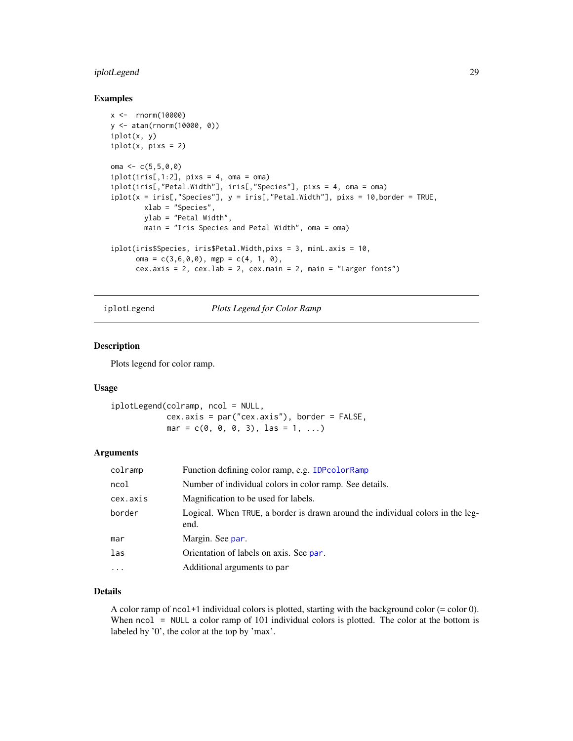# <span id="page-28-0"></span>iplotLegend 29

#### Examples

```
x <- rnorm(10000)
y <- atan(rnorm(10000, 0))
iplot(x, y)
iplot(x, pixs = 2)oma <-c(5,5,0,0)iplot(iris[,1:2], \npix = 4, \noma = \noma)iplot(iris[,"Petal.Width"], iris[,"Species"], pixs = 4, oma = oma)
iplot(x = iris[, "Species"], y = iris[, "Petal.Width"], pixs = 10, border = TRUE,
        xlab = "Species",
        ylab = "Petal Width",
        main = "Iris Species and Petal Width", oma = oma)
iplot(iris$Species, iris$Petal.Width,pixs = 3, minL.axis = 10,
      oma = c(3,6,0,0), mgp = c(4, 1, 0),
      cex. axis = 2, cex. lab = 2, cex. main = 2, main = "Larger fonts")
```
iplotLegend *Plots Legend for Color Ramp*

# Description

Plots legend for color ramp.

#### Usage

iplotLegend(colramp, ncol = NULL, cex.axis = par("cex.axis"), border = FALSE,  $mar = c(0, 0, 0, 3), las = 1, ...$ 

# Arguments

| colramp  | Function defining color ramp, e.g. IDPcolorRamp                                        |
|----------|----------------------------------------------------------------------------------------|
| ncol     | Number of individual colors in color ramp. See details.                                |
| cex.axis | Magnification to be used for labels.                                                   |
| border   | Logical. When TRUE, a border is drawn around the individual colors in the leg-<br>end. |
| mar      | Margin. See par.                                                                       |
| las      | Orientation of labels on axis. See par.                                                |
| $\cdots$ | Additional arguments to par                                                            |

# Details

A color ramp of  $ncol+1$  individual colors is plotted, starting with the background color  $(= color 0)$ . When ncol = NULL a color ramp of 101 individual colors is plotted. The color at the bottom is labeled by '0', the color at the top by 'max'.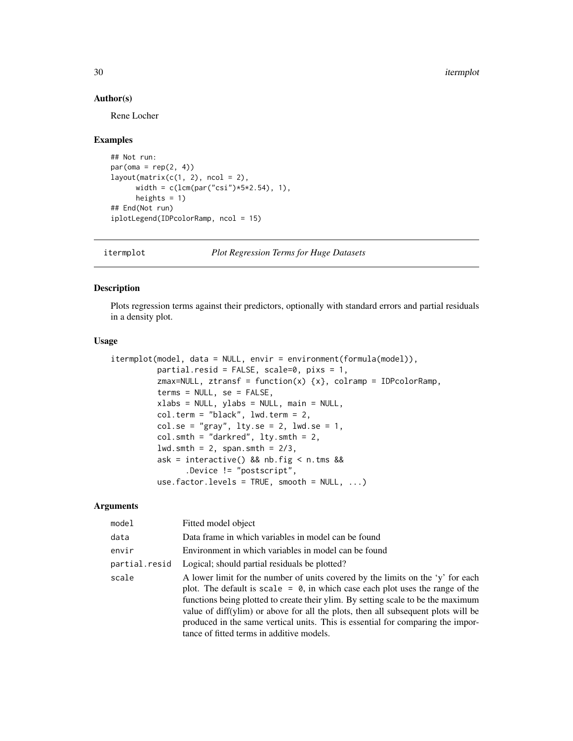#### Author(s)

Rene Locher

# Examples

```
## Not run:
par(oma = rep(2, 4))layout(matrix(c(1, 2), ncol = 2),width = c(lcm(par("csi")*5*2.54), 1),heights = 1)
## End(Not run)
iplotLegend(IDPcolorRamp, ncol = 15)
```
itermplot *Plot Regression Terms for Huge Datasets*

# Description

Plots regression terms against their predictors, optionally with standard errors and partial residuals in a density plot.

#### Usage

```
itermplot(model, data = NULL, envir = environment(formula(model)),
         partial.resid = FALSE, scale=0, pixs = 1,
          zmax=NULL, ztransf = function(x) {x}, colramp = IDPcolorRamp,
          terms = NULL, se = FALSE,
          xlabs = NULL, ylabs = NULL, main = NULL,
          col.term = "black", lwd.term = 2,
          col.se = "gray", lty.se = 2, lwd.se = 1,col.smth = "darkred", 1ty.smth = 2,lwd.smth = 2, span.smth = 2/3,
          ask = interactive() && nb.fig < n.tms &&
                .Device != "postscript",
          use.factor.levels = TRUE, smooth = NULL, ...)
```
#### **Arguments**

| model         | Fitted model object                                                                                                                                                                                                                                                                                                                                                                                                                                                          |
|---------------|------------------------------------------------------------------------------------------------------------------------------------------------------------------------------------------------------------------------------------------------------------------------------------------------------------------------------------------------------------------------------------------------------------------------------------------------------------------------------|
| data          | Data frame in which variables in model can be found                                                                                                                                                                                                                                                                                                                                                                                                                          |
| envir         | Environment in which variables in model can be found                                                                                                                                                                                                                                                                                                                                                                                                                         |
| partial.resid | Logical; should partial residuals be plotted?                                                                                                                                                                                                                                                                                                                                                                                                                                |
| scale         | A lower limit for the number of units covered by the limits on the 'y' for each<br>plot. The default is scale $= 0$ , in which case each plot uses the range of the<br>functions being plotted to create their ylim. By setting scale to be the maximum<br>value of diff(ylim) or above for all the plots, then all subsequent plots will be<br>produced in the same vertical units. This is essential for comparing the impor-<br>tance of fitted terms in additive models. |

<span id="page-29-0"></span>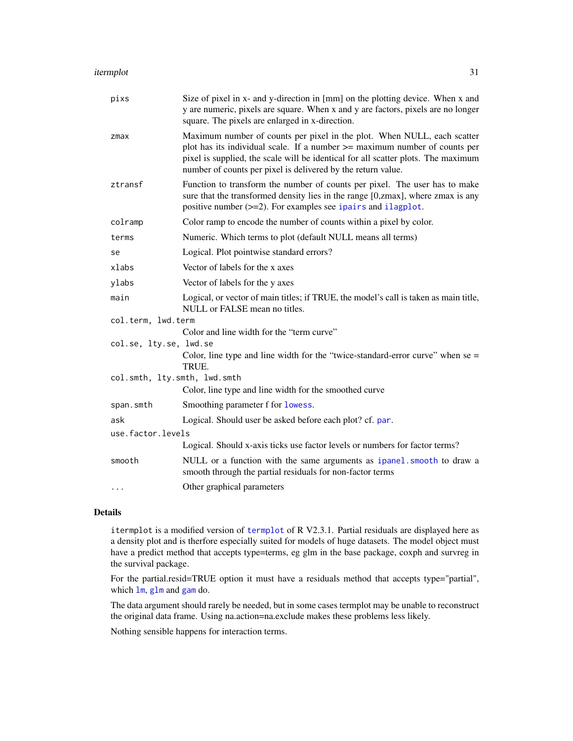#### <span id="page-30-0"></span>itermplot 31

| pixs                         | Size of pixel in x- and y-direction in [mm] on the plotting device. When x and<br>y are numeric, pixels are square. When x and y are factors, pixels are no longer<br>square. The pixels are enlarged in x-direction.                                                                                      |
|------------------------------|------------------------------------------------------------------------------------------------------------------------------------------------------------------------------------------------------------------------------------------------------------------------------------------------------------|
| zmax                         | Maximum number of counts per pixel in the plot. When NULL, each scatter<br>plot has its individual scale. If a number >= maximum number of counts per<br>pixel is supplied, the scale will be identical for all scatter plots. The maximum<br>number of counts per pixel is delivered by the return value. |
| ztransf                      | Function to transform the number of counts per pixel. The user has to make<br>sure that the transformed density lies in the range [0,zmax], where zmax is any<br>positive number $(\geq=2)$ . For examples see ipairs and ilagplot.                                                                        |
| colramp                      | Color ramp to encode the number of counts within a pixel by color.                                                                                                                                                                                                                                         |
| terms                        | Numeric. Which terms to plot (default NULL means all terms)                                                                                                                                                                                                                                                |
| se                           | Logical. Plot pointwise standard errors?                                                                                                                                                                                                                                                                   |
| xlabs                        | Vector of labels for the x axes                                                                                                                                                                                                                                                                            |
| ylabs                        | Vector of labels for the y axes                                                                                                                                                                                                                                                                            |
| main                         | Logical, or vector of main titles; if TRUE, the model's call is taken as main title,<br>NULL or FALSE mean no titles.                                                                                                                                                                                      |
| col.term, lwd.term           |                                                                                                                                                                                                                                                                                                            |
|                              | Color and line width for the "term curve"                                                                                                                                                                                                                                                                  |
| col.se, lty.se, lwd.se       |                                                                                                                                                                                                                                                                                                            |
|                              | Color, line type and line width for the "twice-standard-error curve" when $se =$<br>TRUE.                                                                                                                                                                                                                  |
| col.smth, lty.smth, lwd.smth |                                                                                                                                                                                                                                                                                                            |
|                              | Color, line type and line width for the smoothed curve                                                                                                                                                                                                                                                     |
| span.smth                    | Smoothing parameter f for lowess.                                                                                                                                                                                                                                                                          |
| ask                          | Logical. Should user be asked before each plot? cf. par.                                                                                                                                                                                                                                                   |
| use.factor.levels            |                                                                                                                                                                                                                                                                                                            |
|                              | Logical. Should x-axis ticks use factor levels or numbers for factor terms?                                                                                                                                                                                                                                |
| smooth                       | NULL or a function with the same arguments as ipanel. smooth to draw a<br>smooth through the partial residuals for non-factor terms                                                                                                                                                                        |
| .                            | Other graphical parameters                                                                                                                                                                                                                                                                                 |

# Details

itermplot is a modified version of [termplot](#page-0-0) of R V2.3.1. Partial residuals are displayed here as a density plot and is therfore especially suited for models of huge datasets. The model object must have a predict method that accepts type=terms, eg glm in the base package, coxph and survreg in the survival package.

For the partial.resid=TRUE option it must have a residuals method that accepts type="partial", which  $lm$ , [glm](#page-0-0) and [gam](#page-0-0) do.

The data argument should rarely be needed, but in some cases termplot may be unable to reconstruct the original data frame. Using na.action=na.exclude makes these problems less likely.

Nothing sensible happens for interaction terms.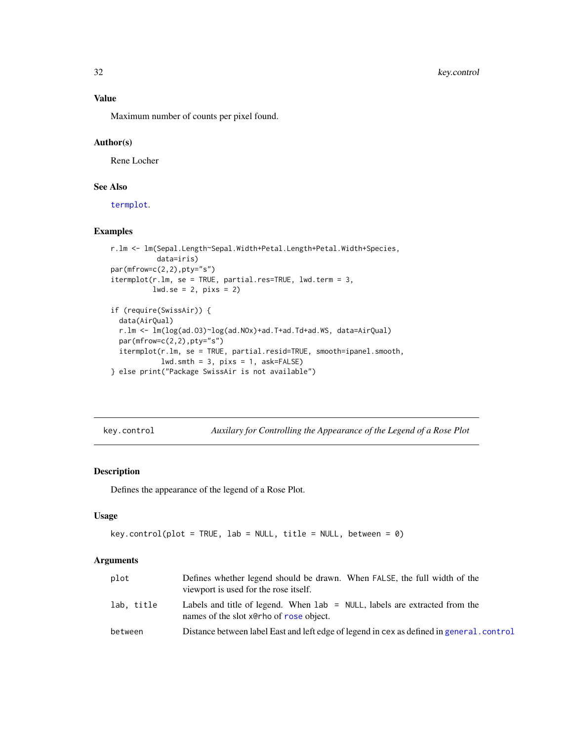<span id="page-31-0"></span>Maximum number of counts per pixel found.

#### Author(s)

Rene Locher

# See Also

[termplot](#page-0-0).

# Examples

```
r.lm <- lm(Sepal.Length~Sepal.Width+Petal.Length+Petal.Width+Species,
          data=iris)
par(mfrow=c(2,2),pty="s")
itermplot(r.lm, se = TRUE, partial.res=TRUE, lwd.term = 3,
         lwd.se = 2, pixs = 2)if (require(SwissAir)) {
 data(AirQual)
 r.lm <- lm(log(ad.O3)~log(ad.NOx)+ad.T+ad.Td+ad.WS, data=AirQual)
 par(mfrow=c(2,2),pty="s")
 itermplot(r.lm, se = TRUE, partial.resid=TRUE, smooth=ipanel.smooth,
           lwd.smth = 3, pix = 1, ask=FALSE)
} else print("Package SwissAir is not available")
```
<span id="page-31-1"></span>key.control *Auxilary for Controlling the Appearance of the Legend of a Rose Plot*

#### Description

Defines the appearance of the legend of a Rose Plot.

#### Usage

```
key.control(plot = TRUE, lab = NULL, title = NULL, between = 0)
```
# Arguments

| plot       | Defines whether legend should be drawn. When FALSE, the full width of the<br>viewport is used for the rose itself.       |
|------------|--------------------------------------------------------------------------------------------------------------------------|
| lab, title | Labels and title of legend. When $lab = NULL$ , labels are extracted from the<br>names of the slot x@rho of rose object. |
| between    | Distance between label East and left edge of legend in cex as defined in general.control                                 |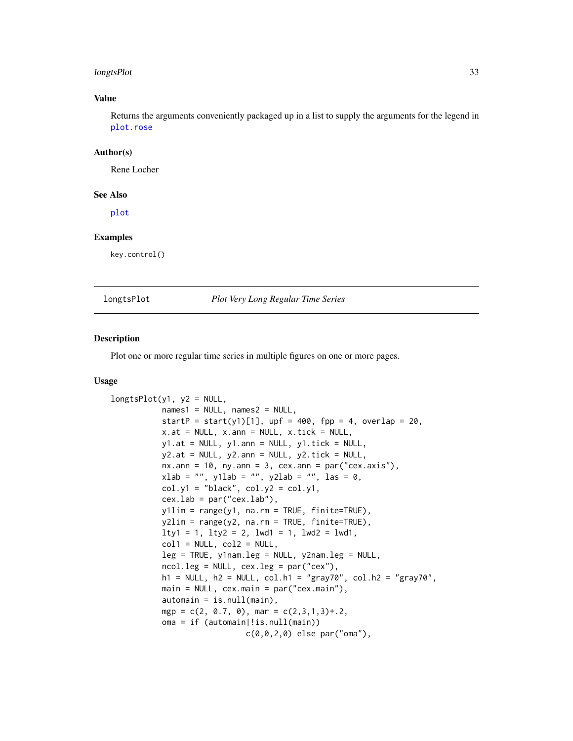#### <span id="page-32-0"></span>longtsPlot 33

#### Value

Returns the arguments conveniently packaged up in a list to supply the arguments for the legend in [plot.rose](#page-40-1)

#### Author(s)

Rene Locher

#### See Also

[plot](#page-40-2)

#### Examples

key.control()

longtsPlot *Plot Very Long Regular Time Series*

# Description

Plot one or more regular time series in multiple figures on one or more pages.

#### Usage

```
longtsPlot(y1, y2 = NULL,names1 = NULL, names2 = NULL,startP = start(y1)[1], upf = 400, fpp = 4, overlap = 20,
          x.at = NULL, x.ann = NULL, x.tick = NULL,y1.at = NULL, y1.ann = NULL, y1.tick = NULL,y2.at = NULL, y2.ann = NULL, y2.tick = NULL,
          nx.ann = 10, ny.ann = 3, cex.ann = par("cex.axis"),xlab = "", y1lab = "", y2lab = "", las = 0,col.y1 = "black", col.y2 = col.y1,cex.lab = par("cex.lab"),
          y1lim = range(y1, na.rm = TRUE, finite=TRUE),
          y2lim = range(y2, na.rm = TRUE, finite=TRUE),
          lty1 = 1, lty2 = 2, lwd1 = 1, lwd2 = lwd1,
          coll = NULL, col2 = NULL,leg = TRUE, y1nam.leg = NULL, y2nam.leg = NULL,
          ncol.leg = NULL, cex.leg = par("cex"),
          h1 = NULL, h2 = NULL, col.h1 = "gray70", col.h2 = "gray70",main = NULL, cex.main = par("cex.main"),
          automain = is.null(main),
          mgp = c(2, 0.7, 0), mar = c(2,3,1,3)+2,
           oma = if (automain|!is.null(main))
                            c(0,0,2,0) else par("oma"),
```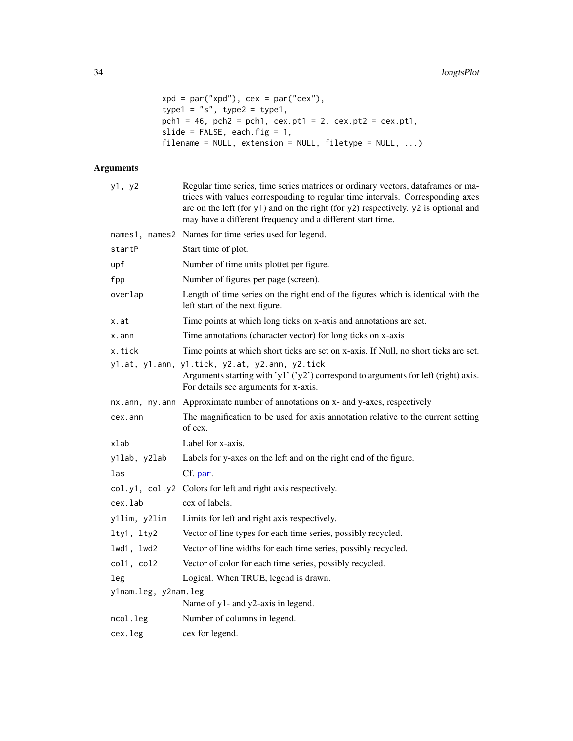```
xpd = par("xpd"), cex = par("cex"),
type1 = "s", type2 = type1,pch1 = 46, pch2 = pch1, cex.pt1 = 2, cex.pt2 = cex.pt1,
slide = FALSE, each.fig = 1,filename = NULL, extension = NULL, filetype = NULL, ...)
```
# Arguments

| y1, y2               | Regular time series, time series matrices or ordinary vectors, dataframes or ma-<br>trices with values corresponding to regular time intervals. Corresponding axes<br>are on the left (for y1) and on the right (for y2) respectively. y2 is optional and<br>may have a different frequency and a different start time. |
|----------------------|-------------------------------------------------------------------------------------------------------------------------------------------------------------------------------------------------------------------------------------------------------------------------------------------------------------------------|
|                      | names1, names2 Names for time series used for legend.                                                                                                                                                                                                                                                                   |
| startP               | Start time of plot.                                                                                                                                                                                                                                                                                                     |
| upf                  | Number of time units plottet per figure.                                                                                                                                                                                                                                                                                |
| fpp                  | Number of figures per page (screen).                                                                                                                                                                                                                                                                                    |
| overlap              | Length of time series on the right end of the figures which is identical with the<br>left start of the next figure.                                                                                                                                                                                                     |
| x.at                 | Time points at which long ticks on x-axis and annotations are set.                                                                                                                                                                                                                                                      |
| $x$ . ann            | Time annotations (character vector) for long ticks on x-axis                                                                                                                                                                                                                                                            |
| x.tick               | Time points at which short ticks are set on x-axis. If Null, no short ticks are set.                                                                                                                                                                                                                                    |
|                      | y1.at, y1.ann, y1.tick, y2.at, y2.ann, y2.tick<br>Arguments starting with 'y1' ('y2') correspond to arguments for left (right) axis.<br>For details see arguments for x-axis.                                                                                                                                           |
|                      | nx.ann, ny.ann Approximate number of annotations on x- and y-axes, respectively                                                                                                                                                                                                                                         |
| cex.ann              | The magnification to be used for axis annotation relative to the current setting<br>of cex.                                                                                                                                                                                                                             |
| xlab                 | Label for x-axis.                                                                                                                                                                                                                                                                                                       |
| y1lab, y2lab         | Labels for y-axes on the left and on the right end of the figure.                                                                                                                                                                                                                                                       |
| las                  | Cf. par.                                                                                                                                                                                                                                                                                                                |
|                      | col.y1, col.y2 Colors for left and right axis respectively.                                                                                                                                                                                                                                                             |
| cex.lab              | cex of labels.                                                                                                                                                                                                                                                                                                          |
| y1lim, y2lim         | Limits for left and right axis respectively.                                                                                                                                                                                                                                                                            |
| lty1, lty2           | Vector of line types for each time series, possibly recycled.                                                                                                                                                                                                                                                           |
| lwd1, lwd2           | Vector of line widths for each time series, possibly recycled.                                                                                                                                                                                                                                                          |
| col1, col2           | Vector of color for each time series, possibly recycled.                                                                                                                                                                                                                                                                |
| leg                  | Logical. When TRUE, legend is drawn.                                                                                                                                                                                                                                                                                    |
| y1nam.leg, y2nam.leg |                                                                                                                                                                                                                                                                                                                         |
|                      | Name of y1- and y2-axis in legend.                                                                                                                                                                                                                                                                                      |
| ncol.leg             | Number of columns in legend.                                                                                                                                                                                                                                                                                            |
| cex.leg              | cex for legend.                                                                                                                                                                                                                                                                                                         |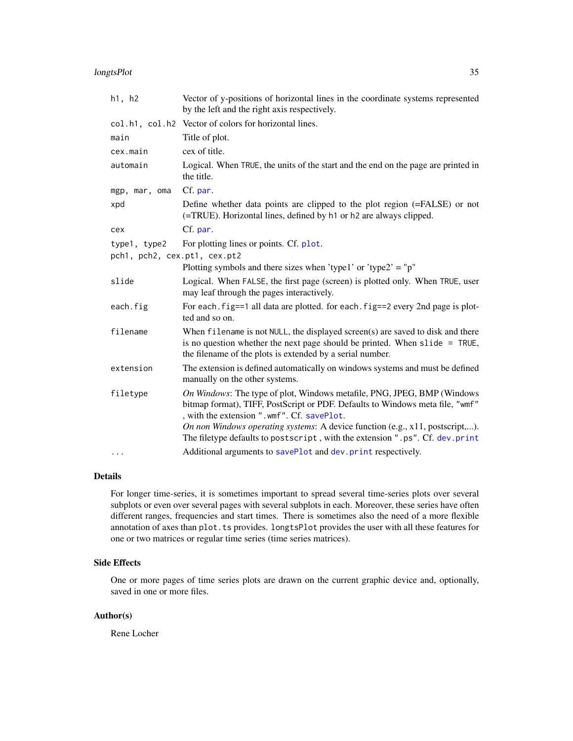#### <span id="page-34-0"></span>longtsPlot 35

| h1, h2                                       | Vector of y-positions of horizontal lines in the coordinate systems represented<br>by the left and the right axis respectively.                                                                                              |
|----------------------------------------------|------------------------------------------------------------------------------------------------------------------------------------------------------------------------------------------------------------------------------|
|                                              | col.h1, col.h2 Vector of colors for horizontal lines.                                                                                                                                                                        |
| main                                         | Title of plot.                                                                                                                                                                                                               |
| cex.main                                     | cex of title.                                                                                                                                                                                                                |
| automain                                     | Logical. When TRUE, the units of the start and the end on the page are printed in<br>the title.                                                                                                                              |
| mgp, mar, oma                                | Cf. par.                                                                                                                                                                                                                     |
| xpd                                          | Define whether data points are clipped to the plot region (=FALSE) or not<br>(=TRUE). Horizontal lines, defined by h1 or h2 are always clipped.                                                                              |
| cex                                          | Cf. par.                                                                                                                                                                                                                     |
| type1, type2<br>pch1, pch2, cex.pt1, cex.pt2 | For plotting lines or points. Cf. plot.                                                                                                                                                                                      |
|                                              | Plotting symbols and there sizes when 'type1' or 'type2' = "p"                                                                                                                                                               |
| slide                                        | Logical. When FALSE, the first page (screen) is plotted only. When TRUE, user<br>may leaf through the pages interactively.                                                                                                   |
| each.fig                                     | For each. fig==1 all data are plotted. for each. fig==2 every 2nd page is plot-<br>ted and so on.                                                                                                                            |
| filename                                     | When filename is not NULL, the displayed screen(s) are saved to disk and there<br>is no question whether the next page should be printed. When $slide = TRUE$ ,<br>the filename of the plots is extended by a serial number. |
| extension                                    | The extension is defined automatically on windows systems and must be defined<br>manually on the other systems.                                                                                                              |
| filetype                                     | On Windows: The type of plot, Windows metafile, PNG, JPEG, BMP (Windows<br>bitmap format), TIFF, PostScript or PDF. Defaults to Windows meta file, "wmf"<br>, with the extension ".wmf". Cf. savePlot.                       |
|                                              | On non Windows operating systems: A device function (e.g., x11, postscript,).<br>The filetype defaults to postscript, with the extension ".ps". Cf. dev.print                                                                |
| $\cdots$                                     | Additional arguments to savePlot and dev. print respectively.                                                                                                                                                                |

# Details

For longer time-series, it is sometimes important to spread several time-series plots over several subplots or even over several pages with several subplots in each. Moreover, these series have often different ranges, frequencies and start times. There is sometimes also the need of a more flexible annotation of axes than plot.ts provides. longtsPlot provides the user with all these features for one or two matrices or regular time series (time series matrices).

# Side Effects

One or more pages of time series plots are drawn on the current graphic device and, optionally, saved in one or more files.

# Author(s)

Rene Locher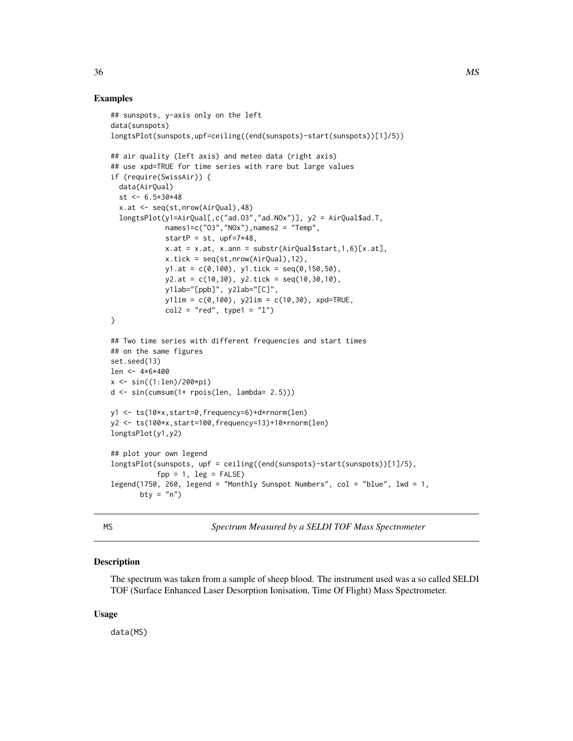# <span id="page-35-0"></span>Examples

```
## sunspots, y-axis only on the left
data(sunspots)
longtsPlot(sunspots,upf=ceiling((end(sunspots)-start(sunspots))[1]/5))
## air quality (left axis) and meteo data (right axis)
## use xpd=TRUE for time series with rare but large values
if (require(SwissAir)) {
  data(AirQual)
  st < -6.5*30*48x.at <- seq(st,nrow(AirQual),48)
  longtsPlot(y1=AirQual[,c("ad.O3","ad.NOx")], y2 = AirQual$ad.T,
             names1=c("03","NOx"),names2 = "Temp",
             startP = st, upf=7*48,
             x.at = x.at, x.ann = substr(AirQual$start, 1, 6)[x.at],
             x.tick = seq(st, nrow(AirQuad), 12),
             y1.at = c(0,100), y1.tick = seq(0,150,50),
             y2.at = c(10,30), y2.tick = seq(10,30,10),y1lab="[ppb]", y2lab="[C]",
             y1lim = c(0,100), y2lim = c(10,30), xpd = TRUE,
             col2 = "red", type1 = "1")}
## Two time series with different frequencies and start times
## on the same figures
set.seed(13)
len <- 4*6*400
x <- sin((1:len)/200*pi)
d <- sin(cumsum(1+ rpois(len, lambda= 2.5)))
y1 <- ts(10*x,start=0,frequency=6)+d*rnorm(len)
y2 <- ts(100*x,start=100,frequency=13)+10*rnorm(len)
longtsPlot(y1,y2)
## plot your own legend
longtsPlot(sunspots, upf = ceiling((end(sunspots)-start(sunspots))[1]/5),
           fpp = 1, leg = FALSE)
legend(1750, 260, legend = "Monthly Sunspot Numbers", col = "blue", lwd = 1,
       bty = "n")
```

|  | л. |  |
|--|----|--|
|  |    |  |

MS *Spectrum Measured by a SELDI TOF Mass Spectrometer*

#### **Description**

The spectrum was taken from a sample of sheep blood. The instrument used was a so called SELDI TOF (Surface Enhanced Laser Desorption Ionisation, Time Of Flight) Mass Spectrometer.

#### Usage

data(MS)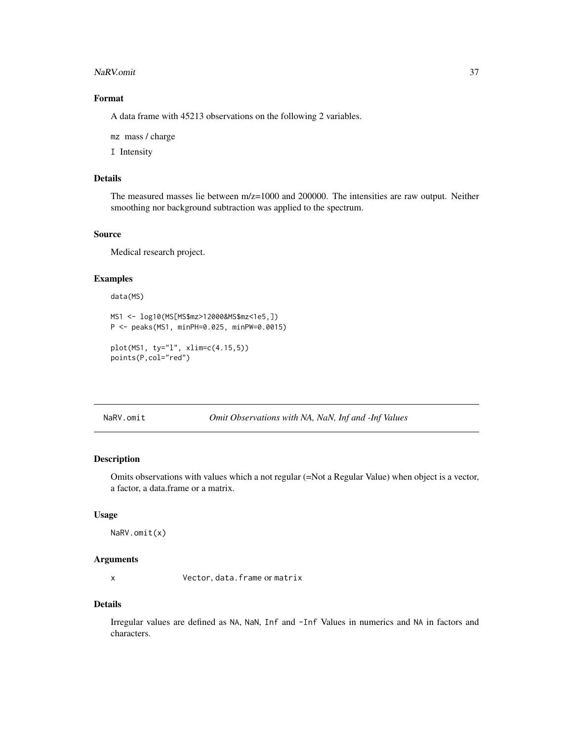#### <span id="page-36-0"></span>NaRV.omit 37

# Format

A data frame with 45213 observations on the following 2 variables.

mz mass / charge

I Intensity

# Details

The measured masses lie between m/z=1000 and 200000. The intensities are raw output. Neither smoothing nor background subtraction was applied to the spectrum.

#### Source

Medical research project.

#### Examples

```
data(MS)
MS1 <- log10(MS[MS$mz>12000&MS$mz<1e5,])
P <- peaks(MS1, minPH=0.025, minPW=0.0015)
plot(MS1, ty="l", xlim=c(4.15,5))
points(P,col="red")
```
NaRV.omit *Omit Observations with NA, NaN, Inf and -Inf Values*

# Description

Omits observations with values which a not regular (=Not a Regular Value) when object is a vector, a factor, a data.frame or a matrix.

#### Usage

NaRV.omit(x)

#### Arguments

x Vector, data.frame or matrix

# Details

Irregular values are defined as NA, NaN, Inf and -Inf Values in numerics and NA in factors and characters.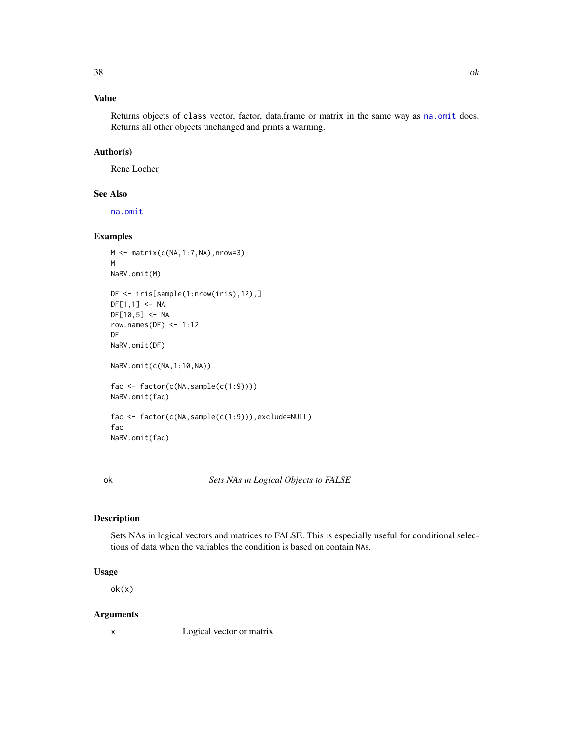# <span id="page-37-0"></span>Value

Returns objects of class vector, factor, data.frame or matrix in the same way as [na.omit](#page-0-0) does. Returns all other objects unchanged and prints a warning.

#### Author(s)

Rene Locher

# See Also

[na.omit](#page-0-0)

#### Examples

```
M \leftarrow \text{matrix}(c(NA, 1:7, NA), nrow=3)M
NaRV.omit(M)
DF <- iris[sample(1:nrow(iris),12),]
DF[1,1] <- NA
DF[10,5] <- NA
row.names(DF) <-1:12DF
NaRV.omit(DF)
NaRV.omit(c(NA,1:10,NA))
fac <- factor(c(NA,sample(c(1:9))))
NaRV.omit(fac)
fac <- factor(c(NA,sample(c(1:9))),exclude=NULL)
fac
NaRV.omit(fac)
```
ok *Sets NAs in Logical Objects to FALSE*

#### Description

Sets NAs in logical vectors and matrices to FALSE. This is especially useful for conditional selections of data when the variables the condition is based on contain NAs.

# Usage

ok(x)

#### Arguments

x Logical vector or matrix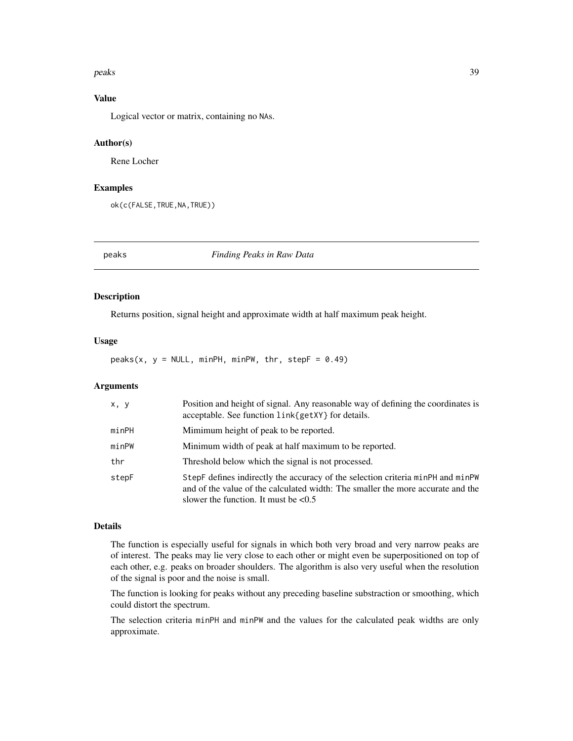#### <span id="page-38-0"></span>peaks 39

# Value

Logical vector or matrix, containing no NAs.

#### Author(s)

Rene Locher

#### Examples

ok(c(FALSE,TRUE,NA,TRUE))

peaks *Finding Peaks in Raw Data*

#### Description

Returns position, signal height and approximate width at half maximum peak height.

#### Usage

 $peaks(x, y = NULL, minPH, minPW, thr, stepF = 0.49)$ 

# Arguments

| x, y  | Position and height of signal. Any reasonable way of defining the coordinates is<br>acceptable. See function link{getXY} for details.                                                                            |
|-------|------------------------------------------------------------------------------------------------------------------------------------------------------------------------------------------------------------------|
| minPH | Mimimum height of peak to be reported.                                                                                                                                                                           |
| minPW | Minimum width of peak at half maximum to be reported.                                                                                                                                                            |
| thr   | Threshold below which the signal is not processed.                                                                                                                                                               |
| stepF | StepF defines indirectly the accuracy of the selection criteria minPH and minPW<br>and of the value of the calculated width: The smaller the more accurate and the<br>slower the function. It must be $\leq 0.5$ |

# Details

The function is especially useful for signals in which both very broad and very narrow peaks are of interest. The peaks may lie very close to each other or might even be superpositioned on top of each other, e.g. peaks on broader shoulders. The algorithm is also very useful when the resolution of the signal is poor and the noise is small.

The function is looking for peaks without any preceding baseline substraction or smoothing, which could distort the spectrum.

The selection criteria minPH and minPW and the values for the calculated peak widths are only approximate.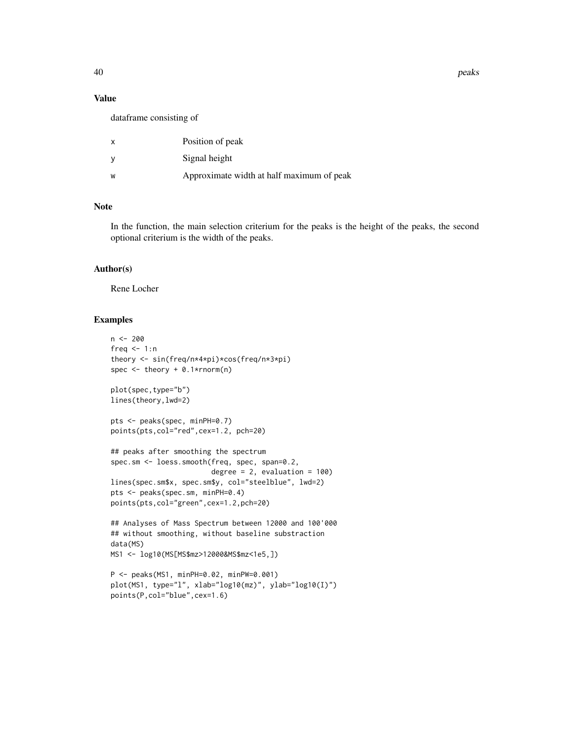#### Value

dataframe consisting of

| $\mathsf{x}$ | Position of peak                          |
|--------------|-------------------------------------------|
| <b>V</b>     | Signal height                             |
| W            | Approximate width at half maximum of peak |

# Note

In the function, the main selection criterium for the peaks is the height of the peaks, the second optional criterium is the width of the peaks.

#### Author(s)

Rene Locher

# Examples

```
n < -200freq \leq -1:ntheory <- sin(freq/n*4*pi)*cos(freq/n*3*pi)
spec \leq theory + 0.1*rnorm(n)
plot(spec,type="b")
lines(theory,lwd=2)
pts <- peaks(spec, minPH=0.7)
points(pts,col="red",cex=1.2, pch=20)
## peaks after smoothing the spectrum
spec.sm <- loess.smooth(freq, spec, span=0.2,
                        degree = 2, evaluation = 100)
lines(spec.sm$x, spec.sm$y, col="steelblue", lwd=2)
pts <- peaks(spec.sm, minPH=0.4)
points(pts,col="green",cex=1.2,pch=20)
## Analyses of Mass Spectrum between 12000 and 100'000
## without smoothing, without baseline substraction
data(MS)
MS1 <- log10(MS[MS$mz>12000&MS$mz<1e5,])
P <- peaks(MS1, minPH=0.02, minPW=0.001)
plot(MS1, type="l", xlab="log10(mz)", ylab="log10(I)")
```

```
points(P,col="blue",cex=1.6)
```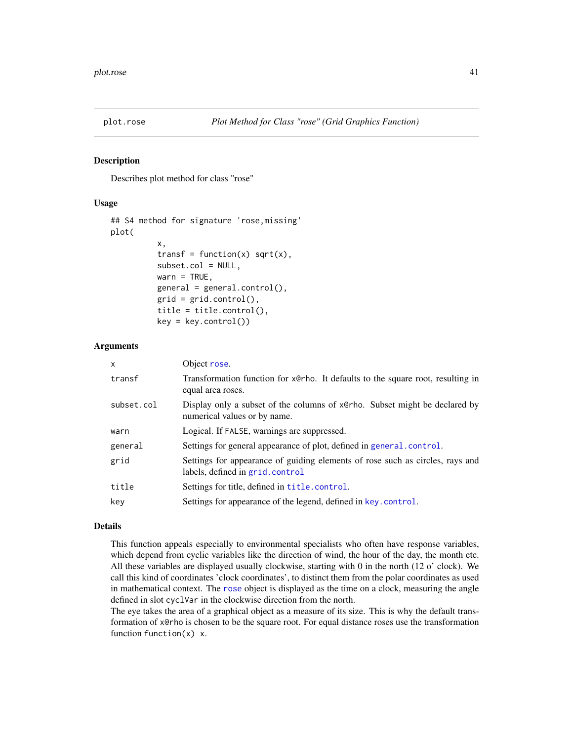<span id="page-40-2"></span><span id="page-40-1"></span><span id="page-40-0"></span>

Describes plot method for class "rose"

#### Usage

```
## S4 method for signature 'rose,missing'
plot(
          x,
          transf = function(x) sqrt(x),
          subset.col = NULL,
          wan = TRUE,general = general.control(),grid = grid.contrib(),
          title = title.control(),
          key = key.contrib()
```
#### Arguments

| X          | Object rose.                                                                                                     |
|------------|------------------------------------------------------------------------------------------------------------------|
| transf     | Transformation function for x@rho. It defaults to the square root, resulting in<br>equal area roses.             |
| subset.col | Display only a subset of the columns of x@rho. Subset might be declared by<br>numerical values or by name.       |
| warn       | Logical. If FALSE, warnings are suppressed.                                                                      |
| general    | Settings for general appearance of plot, defined in general control.                                             |
| grid       | Settings for appearance of guiding elements of rose such as circles, rays and<br>labels, defined in grid.control |
| title      | Settings for title, defined in <b>title</b> .control.                                                            |
| key        | Settings for appearance of the legend, defined in key.control.                                                   |
|            |                                                                                                                  |

# Details

This function appeals especially to environmental specialists who often have response variables, which depend from cyclic variables like the direction of wind, the hour of the day, the month etc. All these variables are displayed usually clockwise, starting with 0 in the north (12 o' clock). We call this kind of coordinates 'clock coordinates', to distinct them from the polar coordinates as used in mathematical context. The [rose](#page-48-1) object is displayed as the time on a clock, measuring the angle defined in slot cyclVar in the clockwise direction from the north.

The eye takes the area of a graphical object as a measure of its size. This is why the default transformation of x@rho is chosen to be the square root. For equal distance roses use the transformation function function(x) x.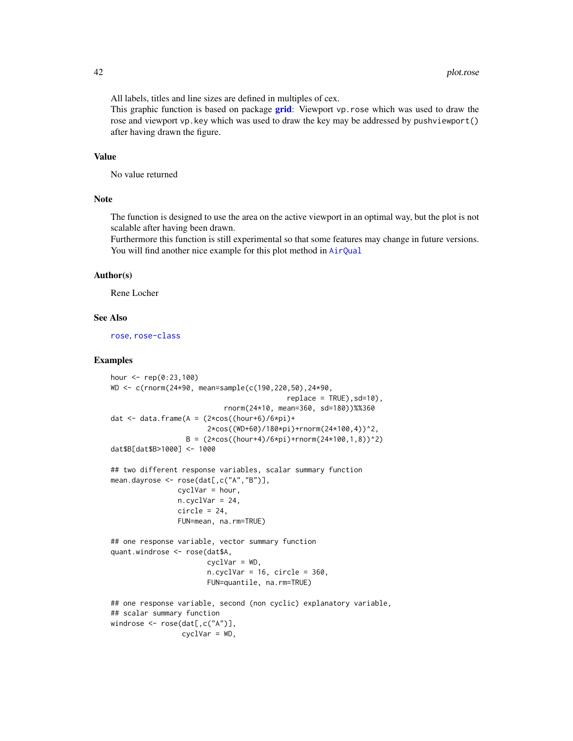<span id="page-41-0"></span>All labels, titles and line sizes are defined in multiples of cex.

This graphic function is based on package [grid](#page-0-0): Viewport vp. rose which was used to draw the rose and viewport vp.key which was used to draw the key may be addressed by pushviewport() after having drawn the figure.

#### Value

No value returned

#### Note

The function is designed to use the area on the active viewport in an optimal way, but the plot is not scalable after having been drawn.

Furthermore this function is still experimental so that some features may change in future versions. You will find another nice example for this plot method in [AirQual](#page-0-0)

#### Author(s)

Rene Locher

#### See Also

[rose](#page-48-1), [rose-class](#page-50-1)

#### Examples

```
hour <- rep(0:23,100)
WD <- c(rnorm(24*90, mean=sample(c(190,220,50),24*90,
                                            replace = TRUE), sd=10),
                            rnorm(24*10, mean=360, sd=180))%%360
dat <- data.frame(A = (2 \times \cos((\text{hour}+6)/6 \times \text{pi})+2*cos((WD+60)/180*pi)+rnorm(24*100,4))^2,
                   B = (2 * cos((hour + 4)/6 * pi) + rnorm(24 * 100, 1, 8))^2)dat$B[dat$B>1000] <- 1000
## two different response variables, scalar summary function
mean.dayrose <- rose(dat[,c("A","B")],
                cyclVar = hour,
                n.cyclVar = 24,
                 circle = 24,
                 FUN=mean, na.rm=TRUE)
## one response variable, vector summary function
quant.windrose <- rose(dat$A,
                        cyc1Var = WD,
                        n.cyclVar = 16, circle = 360,
                        FUN=quantile, na.rm=TRUE)
## one response variable, second (non cyclic) explanatory variable,
## scalar summary function
windrose <- rose(dat[,c("A")],
                 cyclVar = WD,
```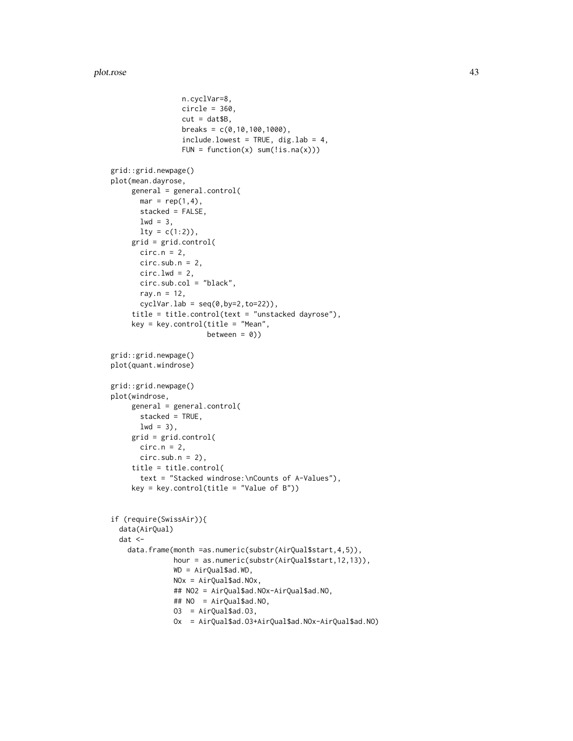```
n.cyclVar=8,
                 circle = 360,
                 cut = dat $B,breaks = c(0, 10, 100, 1000),
                 include. lowest = TRUE, dig. lab = 4,FUN = function(x) sum('is.na(x)))grid::grid.newpage()
plot(mean.dayrose,
    general = general.control(
      mar = rep(1,4),stacked = FALSE,
      1wd = 3,
      lty = c(1:2),
     grid = grid.control(
      circ.n = 2,
      circ.sub.n = 2,circ.lwd = 2,
      circ.sub.col = "black",
      ray.n = 12,
      cyclVar.lab = seq(0, by=2, to=22)),title = title.control(text = "unstacked dayrose"),
     key = key.control(title = "Mean",
                       between = 0))
grid::grid.newpage()
plot(quant.windrose)
grid::grid.newpage()
plot(windrose,
    general = general.control(
      stacked = TRUE,
      1wd = 3,
     grid = grid.control(
      circ.n = 2,
      circ.sub.n = 2),
     title = title.control(
      text = "Stacked windrose:\nCounts of A-Values"),
     key = key.control(title = "Value of B"))
if (require(SwissAir)){
 data(AirQual)
 dat <-
    data.frame(month =as.numeric(substr(AirQual$start,4,5)),
              hour = as.numeric(substr(AirQual$start,12,13)),
              WD = AirQual$ad.WD,
              NOx = AirQual$ad.NOx,
              ## NO2 = AirQual$ad.NOx-AirQual$ad.NO,
              ## NO = AirQual$ad.NO,
              03 = AirQual$ad.03,Ox = AirQual$ad.O3+AirQual$ad.NOx-AirQual$ad.NO)
```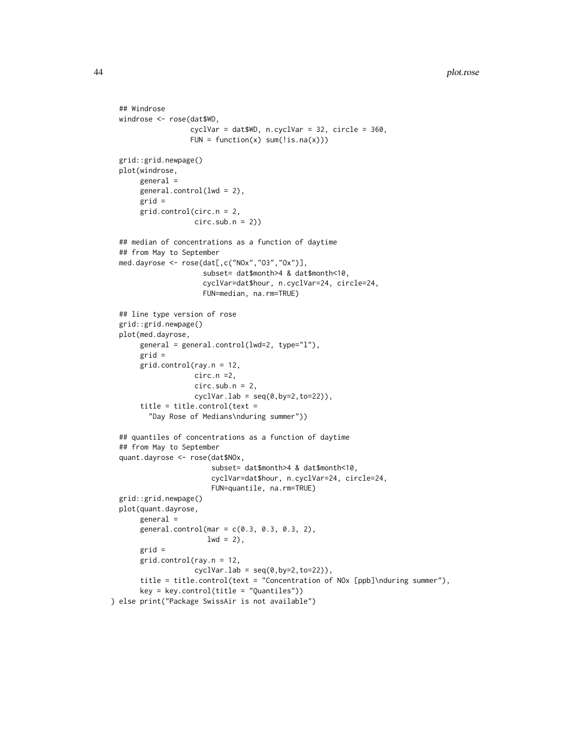```
## Windrose
 windrose <- rose(dat$WD,
                  cyclVar = dat$WD, n.cyclVar = 32, circle = 360,
                  FUN = function(x) sum('is.na(x)))grid::grid.newpage()
 plot(windrose,
      general =
      general.control(lwd = 2),
      grid =
      grid.control(circ.n = 2,
                    circ.sub.n = 2)## median of concentrations as a function of daytime
 ## from May to September
 med.dayrose <- rose(dat[,c("NOx","O3","Ox")],
                      subset= dat$month>4 & dat$month<10,
                      cyclVar=dat$hour, n.cyclVar=24, circle=24,
                      FUN=median, na.rm=TRUE)
 ## line type version of rose
 grid::grid.newpage()
 plot(med.dayrose,
      general = general.control(lwd=2, type="l"),
      grid =
      grid.control(ray.n = 12,
                    circ.n =2,
                    circ.sub.n = 2,cyclVar.lab = seq(0, by=2, to=22)),title = title.control(text =
         "Day Rose of Medians\nduring summer"))
 ## quantiles of concentrations as a function of daytime
 ## from May to September
 quant.dayrose <- rose(dat$NOx,
                        subset= dat$month>4 & dat$month<10,
                        cyclVar=dat$hour, n.cyclVar=24, circle=24,
                        FUN=quantile, na.rm=TRUE)
 grid::grid.newpage()
 plot(quant.dayrose,
      general =
      general.control(mar = c(0.3, 0.3, 0.3, 2),
                       1wd = 2,
      grid =
      grid.control(ray.n = 12,
                    cyclVar.lab = seq(0, by=2, to=22),
      title = title.control(text = "Concentration of NOx [ppb]\nduring summer"),
      key = key.control(title = "Quantiles"))
} else print("Package SwissAir is not available")
```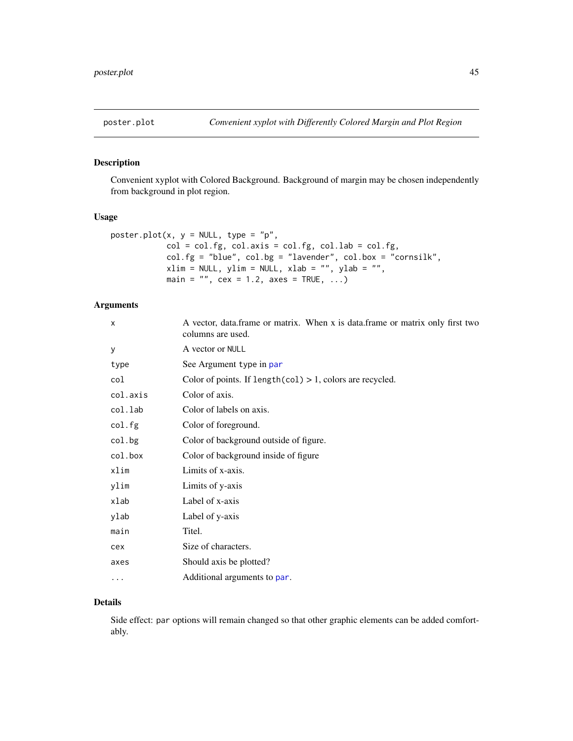<span id="page-44-0"></span>

Convenient xyplot with Colored Background. Background of margin may be chosen independently from background in plot region.

# Usage

```
poster.plot(x, y = NULL, type = "p",
            col = col.fg, col.axis = col.fg, col.lab = col.fg,col.fg = "blue", col.bg = "lavender", col.box = "cornsilk",
            xlim = NULL, ylim = NULL, xlab = "", ylab = "",main = ", cex = 1.2, axes = TRUE, ...)
```
# Arguments

| X        | A vector, data.frame or matrix. When x is data.frame or matrix only first two<br>columns are used. |
|----------|----------------------------------------------------------------------------------------------------|
| У        | A vector or NULL                                                                                   |
| type     | See Argument type in par                                                                           |
| col      | Color of points. If $length(col) > 1$ , colors are recycled.                                       |
| col.axis | Color of axis.                                                                                     |
| col.lab  | Color of labels on axis.                                                                           |
| col.fg   | Color of foreground.                                                                               |
| col.bg   | Color of background outside of figure.                                                             |
| col.box  | Color of background inside of figure                                                               |
| xlim     | Limits of x-axis.                                                                                  |
| ylim     | Limits of y-axis                                                                                   |
| xlab     | Label of x-axis                                                                                    |
| ylab     | Label of y-axis                                                                                    |
| main     | Titel.                                                                                             |
| cex      | Size of characters.                                                                                |
| axes     | Should axis be plotted?                                                                            |
| .        | Additional arguments to par.                                                                       |

# Details

Side effect: par options will remain changed so that other graphic elements can be added comfortably.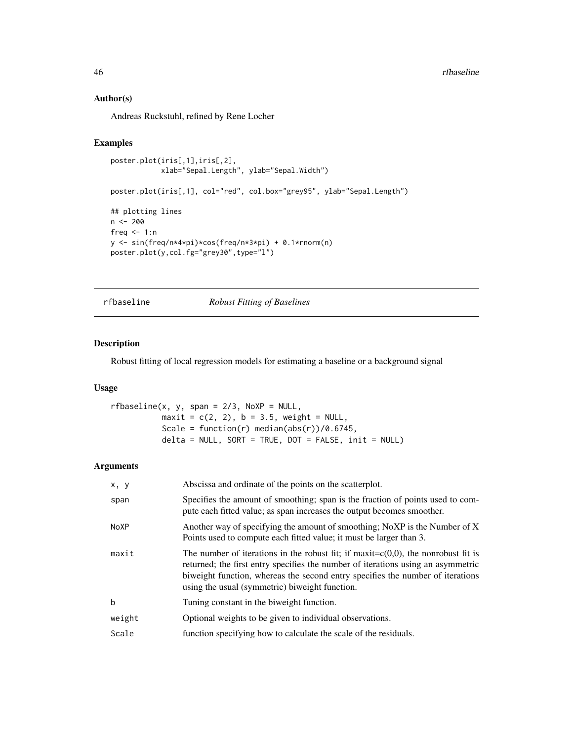#### Author(s)

Andreas Ruckstuhl, refined by Rene Locher

#### Examples

```
poster.plot(iris[,1],iris[,2],
            xlab="Sepal.Length", ylab="Sepal.Width")
poster.plot(iris[,1], col="red", col.box="grey95", ylab="Sepal.Length")
## plotting lines
n <- 200
freq <-1:ny <- sin(freq/n*4*pi)*cos(freq/n*3*pi) + 0.1*rnorm(n)
poster.plot(y,col.fg="grey30",type="l")
```
rfbaseline *Robust Fitting of Baselines*

#### Description

Robust fitting of local regression models for estimating a baseline or a background signal

#### Usage

```
rfbaseline(x, y, span = 2/3, NoXP = NULL,maxit = c(2, 2), b = 3.5, weight = NULL,Scale = function(r) median(abs(r))/0.6745,
          delta = NULL, SORT = TRUE, DOT = FALSE, init = NULL
```
#### Arguments

| x, y        | Abscissa and ordinate of the points on the scatterplot.                                                                                                                                                                                                                                                       |
|-------------|---------------------------------------------------------------------------------------------------------------------------------------------------------------------------------------------------------------------------------------------------------------------------------------------------------------|
| span        | Specifies the amount of smoothing; span is the fraction of points used to com-<br>pute each fitted value; as span increases the output becomes smoother.                                                                                                                                                      |
| <b>NoXP</b> | Another way of specifying the amount of smoothing; NoXP is the Number of X<br>Points used to compute each fitted value; it must be larger than 3.                                                                                                                                                             |
| maxit       | The number of iterations in the robust fit; if maxit= $c(0,0)$ , the nonrobust fit is<br>returned; the first entry specifies the number of iterations using an asymmetric<br>biweight function, whereas the second entry specifies the number of iterations<br>using the usual (symmetric) biweight function. |
| $\mathbf b$ | Tuning constant in the biweight function.                                                                                                                                                                                                                                                                     |
| weight      | Optional weights to be given to individual observations.                                                                                                                                                                                                                                                      |
| Scale       | function specifying how to calculate the scale of the residuals.                                                                                                                                                                                                                                              |

<span id="page-45-0"></span>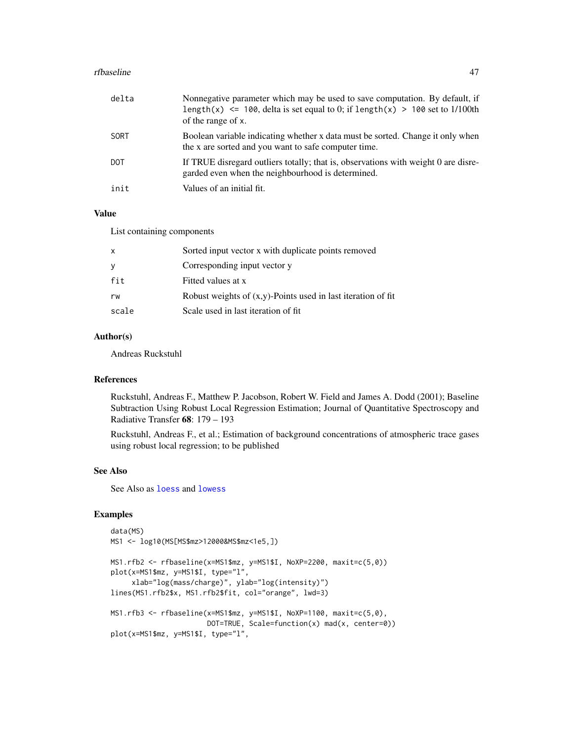#### <span id="page-46-0"></span>rfbaseline 47

| delta | Nonnegative parameter which may be used to save computation. By default, if<br>length(x) $\le$ 100, delta is set equal to 0; if length(x) > 100 set to 1/100th<br>of the range of x. |
|-------|--------------------------------------------------------------------------------------------------------------------------------------------------------------------------------------|
| SORT  | Boolean variable indicating whether x data must be sorted. Change it only when<br>the x are sorted and you want to safe computer time.                                               |
| DOT   | If TRUE disregard outliers totally; that is, observations with weight 0 are disre-<br>garded even when the neighbourhood is determined.                                              |
| init  | Values of an initial fit.                                                                                                                                                            |

# Value

List containing components

| Sorted input vector x with duplicate points removed             |
|-----------------------------------------------------------------|
| Corresponding input vector y                                    |
| Fitted values at x                                              |
| Robust weights of $(x,y)$ -Points used in last iteration of fit |
| Scale used in last iteration of fit.                            |
|                                                                 |

# Author(s)

Andreas Ruckstuhl

# References

Ruckstuhl, Andreas F., Matthew P. Jacobson, Robert W. Field and James A. Dodd (2001); Baseline Subtraction Using Robust Local Regression Estimation; Journal of Quantitative Spectroscopy and Radiative Transfer 68: 179 – 193

Ruckstuhl, Andreas F., et al.; Estimation of background concentrations of atmospheric trace gases using robust local regression; to be published

#### See Also

See Also as [loess](#page-0-0) and [lowess](#page-0-0)

# Examples

```
data(MS)
MS1 <- log10(MS[MS$mz>12000&MS$mz<1e5,])
```

```
MS1.rfb2 <- rfbaseline(x=MS1$mz, y=MS1$I, NoXP=2200, maxit=c(5,0))
plot(x=MS1$mz, y=MS1$I, type="l",
     xlab="log(mass/charge)", ylab="log(intensity)")
lines(MS1.rfb2$x, MS1.rfb2$fit, col="orange", lwd=3)
MS1.rfb3 <- rfbaseline(x=MS1$mz, y=MS1$I, NoXP=1100, maxit=c(5,0),
                       DOT=TRUE, Scale=function(x) mad(x, center=0))
```
plot(x=MS1\$mz, y=MS1\$I, type="l",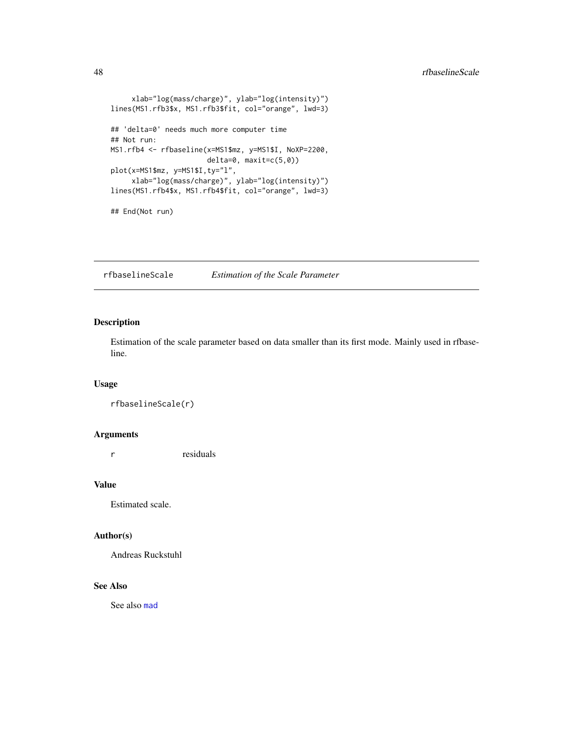```
xlab="log(mass/charge)", ylab="log(intensity)")
lines(MS1.rfb3$x, MS1.rfb3$fit, col="orange", lwd=3)
## 'delta=0' needs much more computer time
## Not run:
MS1.rfb4 <- rfbaseline(x=MS1$mz, y=MS1$I, NoXP=2200,
                       delta=0, maxit=c(5,0))
plot(x=MS1$mz, y=MS1$I,ty="l",
     xlab="log(mass/charge)", ylab="log(intensity)")
lines(MS1.rfb4$x, MS1.rfb4$fit, col="orange", lwd=3)
## End(Not run)
```
rfbaselineScale *Estimation of the Scale Parameter*

# Description

Estimation of the scale parameter based on data smaller than its first mode. Mainly used in rfbaseline.

# Usage

```
rfbaselineScale(r)
```
#### Arguments

r residuals

# Value

Estimated scale.

# Author(s)

Andreas Ruckstuhl

# See Also

See also [mad](#page-0-0)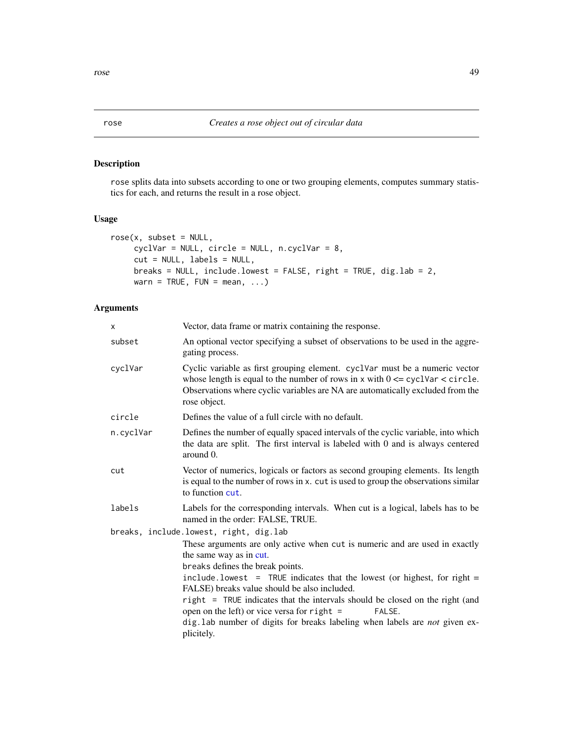<span id="page-48-1"></span><span id="page-48-0"></span>rose splits data into subsets according to one or two grouping elements, computes summary statistics for each, and returns the result in a rose object.

#### Usage

```
rose(x, subset = NULL,cyclVar = NULL, circle = NULL, n.cyclVar = 8,
    cut = NULL, labels = NULL,
    breaks = NULL, include.lowest = FALSE, right = TRUE, dig.lab = 2,
    warn = TRUE, FUN = mean, ...
```
# Arguments

| X         | Vector, data frame or matrix containing the response.                                                                                                                                                                                                                     |
|-----------|---------------------------------------------------------------------------------------------------------------------------------------------------------------------------------------------------------------------------------------------------------------------------|
| subset    | An optional vector specifying a subset of observations to be used in the aggre-<br>gating process.                                                                                                                                                                        |
| cyclVar   | Cyclic variable as first grouping element. cyclVar must be a numeric vector<br>whose length is equal to the number of rows in $x$ with $0 \leq z$ cyclvar $\lt$ circle.<br>Observations where cyclic variables are NA are automatically excluded from the<br>rose object. |
| circle    | Defines the value of a full circle with no default.                                                                                                                                                                                                                       |
| n.cyclVar | Defines the number of equally spaced intervals of the cyclic variable, into which<br>the data are split. The first interval is labeled with 0 and is always centered<br>around 0.                                                                                         |
| cut       | Vector of numerics, logicals or factors as second grouping elements. Its length<br>is equal to the number of rows in x. cut is used to group the observations similar<br>to function cut.                                                                                 |
| labels    | Labels for the corresponding intervals. When cut is a logical, labels has to be<br>named in the order: FALSE, TRUE.                                                                                                                                                       |
|           | breaks, include.lowest, right, dig.lab                                                                                                                                                                                                                                    |
|           | These arguments are only active when cut is numeric and are used in exactly<br>the same way as in cut.<br>breaks defines the break points.                                                                                                                                |
|           | $include.$ $1$ owest = TRUE indicates that the lowest (or highest, for right =<br>FALSE) breaks value should be also included.                                                                                                                                            |
|           | right = TRUE indicates that the intervals should be closed on the right (and<br>open on the left) or vice versa for right $=$<br>FALSE.                                                                                                                                   |
|           | dig. lab number of digits for breaks labeling when labels are not given ex-<br>plicitely.                                                                                                                                                                                 |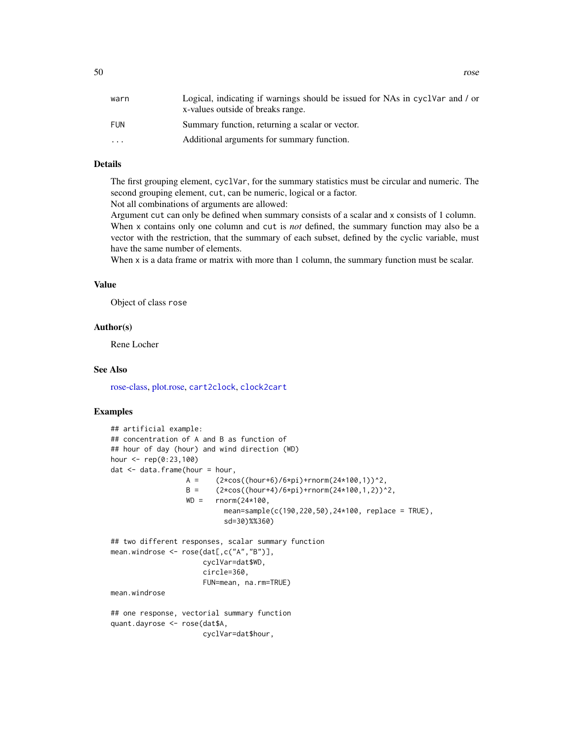<span id="page-49-0"></span>

| warn                    | Logical, indicating if warnings should be issued for NAs in cyclvar and / or<br>x-values outside of breaks range. |
|-------------------------|-------------------------------------------------------------------------------------------------------------------|
| FUN                     | Summary function, returning a scalar or vector.                                                                   |
| $\cdot$ $\cdot$ $\cdot$ | Additional arguments for summary function.                                                                        |
|                         |                                                                                                                   |

# **Details**

The first grouping element, cyclVar, for the summary statistics must be circular and numeric. The second grouping element, cut, can be numeric, logical or a factor.

Not all combinations of arguments are allowed:

Argument cut can only be defined when summary consists of a scalar and x consists of 1 column. When x contains only one column and cut is *not* defined, the summary function may also be a vector with the restriction, that the summary of each subset, defined by the cyclic variable, must have the same number of elements.

When x is a data frame or matrix with more than 1 column, the summary function must be scalar.

# Value

Object of class rose

#### Author(s)

Rene Locher

# See Also

[rose-class,](#page-50-1) [plot.rose,](#page-40-1) [cart2clock](#page-5-1), [clock2cart](#page-6-1)

#### Examples

```
## artificial example:
## concentration of A and B as function of
## hour of day (hour) and wind direction (WD)
hour <- rep(0:23,100)
dat < - data frame(hour = hour,A = (2 * cos((hour + 6)/6 * pi) + rnorm(24 * 100, 1))^2,
                  B = (2 * cos((hour + 4)/6 * pi) + rnorm(24 * 100, 1, 2))^2,
                  WD = rnorm(24*100,
                           mean=sample(c(190,220,50),24*100, replace = TRUE),
                            sd=30)%%360)
## two different responses, scalar summary function
mean.windrose <- rose(dat[,c("A","B")],
                      cyclVar=dat$WD,
                      circle=360,
                      FUN=mean, na.rm=TRUE)
mean.windrose
## one response, vectorial summary function
quant.dayrose <- rose(dat$A,
                      cyclVar=dat$hour,
```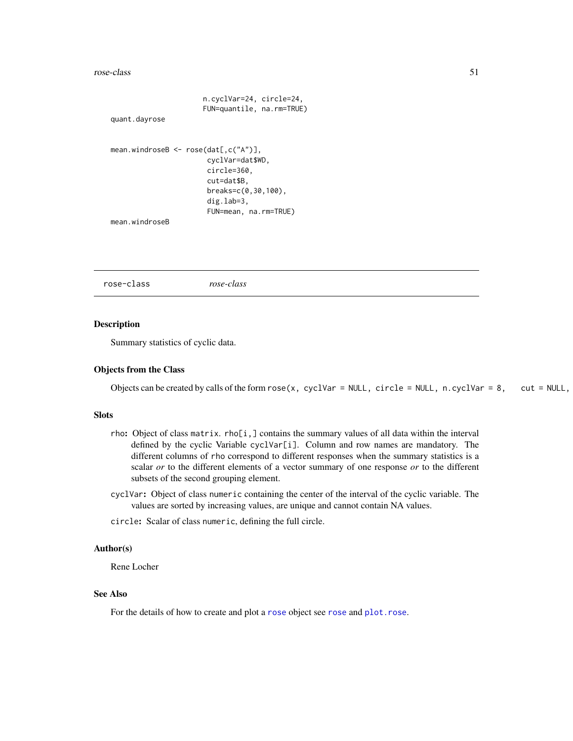#### <span id="page-50-0"></span>rose-class 51

```
n.cyclVar=24, circle=24,
                      FUN=quantile, na.rm=TRUE)
quant.dayrose
mean.windroseB <- rose(dat[,c("A")],
                       cyclVar=dat$WD,
                       circle=360,
                       cut=dat$B,
                       breaks=c(0,30,100),
                       dig.lab=3,
                       FUN=mean, na.rm=TRUE)
mean.windroseB
```
<span id="page-50-1"></span>rose-class *rose-class*

# Description

Summary statistics of cyclic data.

# Objects from the Class

Objects can be created by calls of the form  $\text{rose}(x, \text{ cyclVar} = \text{NULL}, \text{circle} = \text{NULL}, \text{ n.cyclVar} = 8, \text{ cut} = \text{NULL},$ 

#### Slots

- rho: Object of class matrix. rho[i,] contains the summary values of all data within the interval defined by the cyclic Variable cyclVar[i]. Column and row names are mandatory. The different columns of rho correspond to different responses when the summary statistics is a scalar *or* to the different elements of a vector summary of one response *or* to the different subsets of the second grouping element.
- cyclVar: Object of class numeric containing the center of the interval of the cyclic variable. The values are sorted by increasing values, are unique and cannot contain NA values.
- circle: Scalar of class numeric, defining the full circle.

#### Author(s)

Rene Locher

## See Also

For the details of how to create and plot a [rose](#page-48-1) object see rose and [plot.rose](#page-40-1).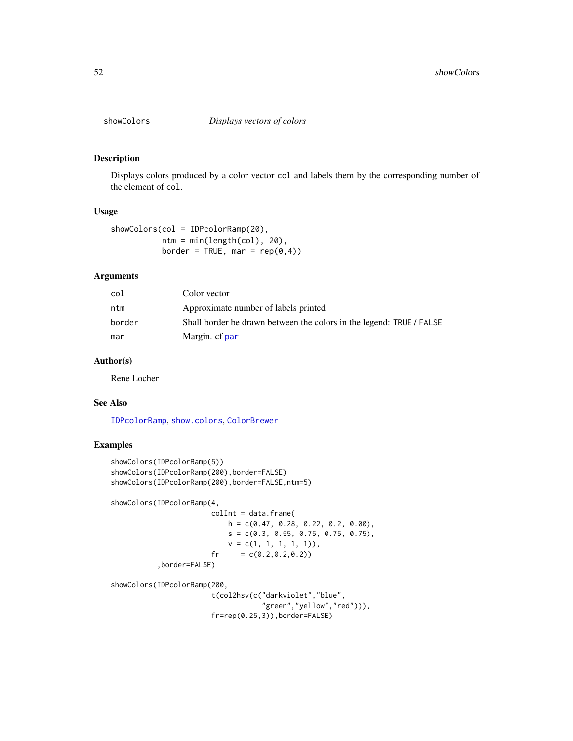<span id="page-51-1"></span><span id="page-51-0"></span>

Displays colors produced by a color vector col and labels them by the corresponding number of the element of col.

#### Usage

showColors(col = IDPcolorRamp(20), ntm = min(length(col), 20), border = TRUE, mar =  $rep(0, 4)$ )

#### Arguments

| col    | Color vector                                                         |
|--------|----------------------------------------------------------------------|
| ntm    | Approximate number of labels printed                                 |
| border | Shall border be drawn between the colors in the legend: TRUE / FALSE |
| mar    | Margin. cf par                                                       |

# Author(s)

Rene Locher

#### See Also

[IDPcolorRamp](#page-17-1), [show.colors](#page-0-0), [ColorBrewer](#page-0-0)

# Examples

```
showColors(IDPcolorRamp(5))
showColors(IDPcolorRamp(200),border=FALSE)
showColors(IDPcolorRamp(200),border=FALSE,ntm=5)
showColors(IDPcolorRamp(4,
                       collnt = data.frame(h = c(0.47, 0.28, 0.22, 0.2, 0.00),
```

```
s = c(0.3, 0.55, 0.75, 0.75, 0.75),
   v = c(1, 1, 1, 1, 1)),
fr = c(0.2, 0.2, 0.2))
```
,border=FALSE)

showColors(IDPcolorRamp(200,

t(col2hsv(c("darkviolet","blue", "green","yellow","red"))), fr=rep(0.25,3)),border=FALSE)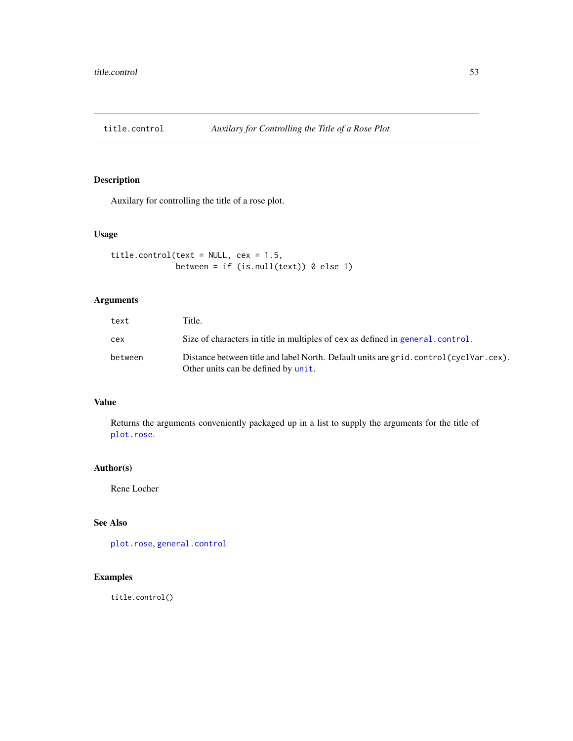<span id="page-52-1"></span><span id="page-52-0"></span>

Auxilary for controlling the title of a rose plot.

# Usage

```
title.control(text = NULL, cex = 1.5,
              between = if (is.null(text)) 0 else 1)
```
# Arguments

| text    | Title.                                                                                                                      |
|---------|-----------------------------------------------------------------------------------------------------------------------------|
| cex     | Size of characters in title in multiples of cex as defined in general control.                                              |
| between | Distance between title and label North. Default units are grid.control(cyclVar.cex).<br>Other units can be defined by unit. |

# Value

Returns the arguments conveniently packaged up in a list to supply the arguments for the title of [plot.rose](#page-40-1).

# Author(s)

Rene Locher

# See Also

[plot.rose](#page-40-1), [general.control](#page-11-1)

# Examples

title.control()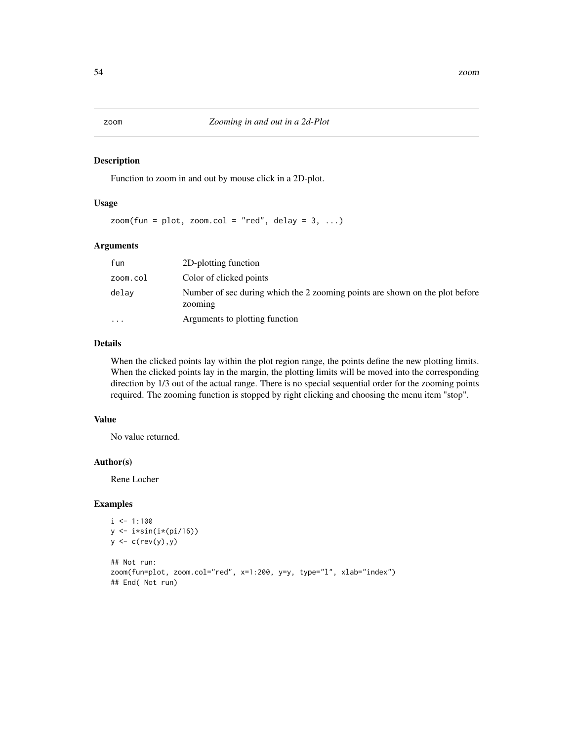<span id="page-53-0"></span>Function to zoom in and out by mouse click in a 2D-plot.

#### Usage

 $z$ oom(fun = plot, zoom.col = "red", delay = 3, ...)

# Arguments

| fun       | 2D-plotting function                                                                    |
|-----------|-----------------------------------------------------------------------------------------|
| zoom.col  | Color of clicked points                                                                 |
| delav     | Number of sec during which the 2 zooming points are shown on the plot before<br>zooming |
| $\ddotsc$ | Arguments to plotting function                                                          |

# Details

When the clicked points lay within the plot region range, the points define the new plotting limits. When the clicked points lay in the margin, the plotting limits will be moved into the corresponding direction by 1/3 out of the actual range. There is no special sequential order for the zooming points required. The zooming function is stopped by right clicking and choosing the menu item "stop".

# Value

No value returned.

#### Author(s)

Rene Locher

#### Examples

```
i \leq -1:100y <- i*sin(i*(pi/16))
y <- c(rev(y),y)
## Not run:
zoom(fun=plot, zoom.col="red", x=1:200, y=y, type="l", xlab="index")
## End( Not run)
```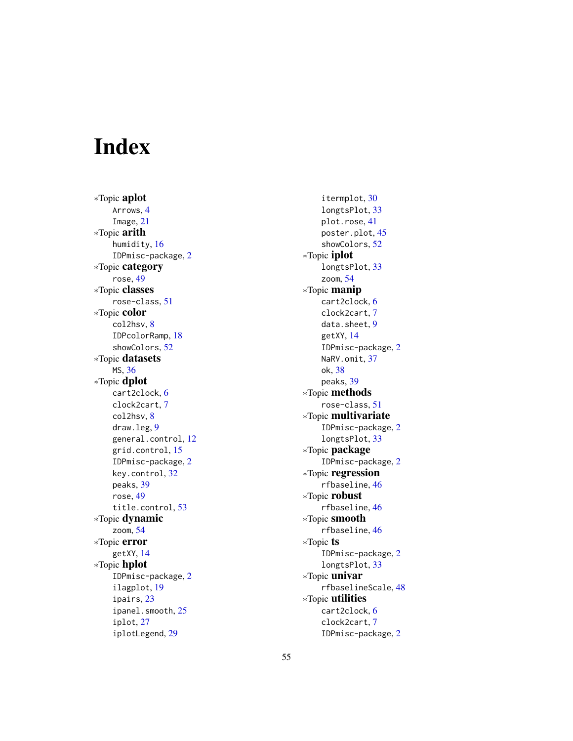# <span id="page-54-0"></span>Index

∗Topic aplot Arrows , [4](#page-3-0) Image , [21](#page-20-0) ∗Topic arith humidity , [16](#page-15-0) IDPmisc-package , [2](#page-1-0) ∗Topic category rose , [49](#page-48-0) ∗Topic classes rose-class , [51](#page-50-0) ∗Topic color col2hsv , [8](#page-7-0) IDPcolorRamp , [18](#page-17-0) showColors , [52](#page-51-0) ∗Topic datasets MS , [36](#page-35-0) ∗Topic dplot cart2clock , [6](#page-5-0) clock2cart , [7](#page-6-0) col2hsv , [8](#page-7-0) draw.leg , [9](#page-8-0) general.control, [12](#page-11-0) grid.control, [15](#page-14-0) IDPmisc-package , [2](#page-1-0) key.control , [32](#page-31-0) peaks , [39](#page-38-0) rose , [49](#page-48-0) title.control , [53](#page-52-0) ∗Topic dynamic zoom , [54](#page-53-0) ∗Topic error getXY , [14](#page-13-0) ∗Topic hplot IDPmisc-package , [2](#page-1-0) ilagplot , [19](#page-18-0) ipairs , [23](#page-22-0) ipanel.smooth, [25](#page-24-0) iplot , [27](#page-26-0) iplotLegend , [29](#page-28-0)

itermplot , [30](#page-29-0) longtsPlot , [33](#page-32-0) plot.rose , [41](#page-40-0) poster.plot , [45](#page-44-0) showColors , [52](#page-51-0) ∗Topic iplot longtsPlot , [33](#page-32-0) zoom , [54](#page-53-0) ∗Topic manip cart2clock , [6](#page-5-0) clock2cart , [7](#page-6-0) data.sheet, [9](#page-8-0) getXY , [14](#page-13-0) IDPmisc-package , [2](#page-1-0) NaRV.omit, [37](#page-36-0) ok , [38](#page-37-0) peaks , [39](#page-38-0) ∗Topic methods rose-class , [51](#page-50-0) ∗Topic multivariate IDPmisc-package , [2](#page-1-0) longtsPlot , [33](#page-32-0) ∗Topic package IDPmisc-package , [2](#page-1-0) ∗Topic regression rfbaseline , [46](#page-45-0) ∗Topic robust rfbaseline , [46](#page-45-0) ∗Topic smooth rfbaseline , [46](#page-45-0) ∗Topic ts IDPmisc-package , [2](#page-1-0) longtsPlot , [33](#page-32-0) ∗Topic univar rfbaselineScale , [48](#page-47-0) ∗Topic utilities cart2clock , [6](#page-5-0) clock2cart , [7](#page-6-0) IDPmisc-package , [2](#page-1-0)